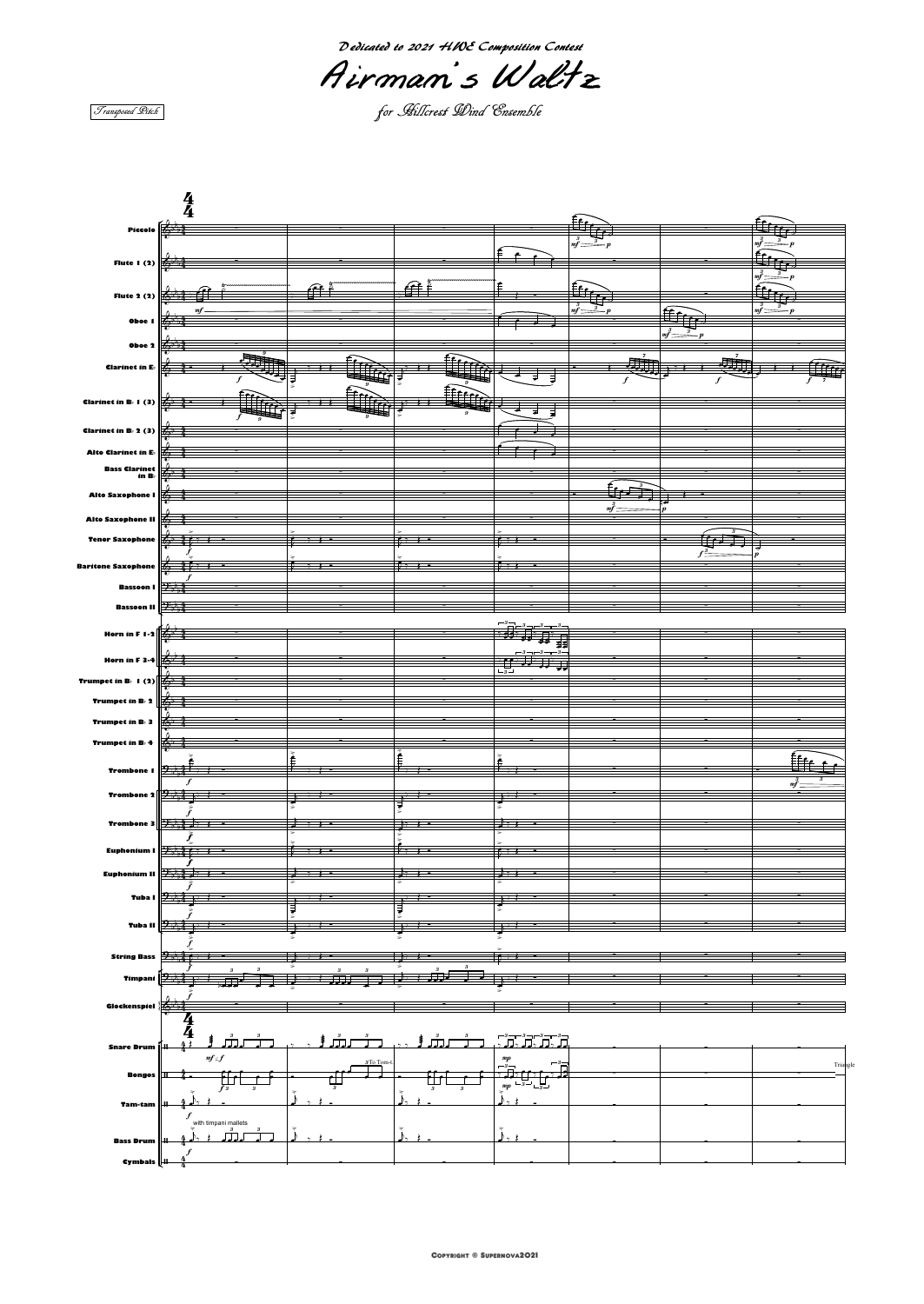Dedicated to 2021 HWE Composition Contest

Airman 's Waltz

Transposed Pitch

for Hil crest Wind Ensemble

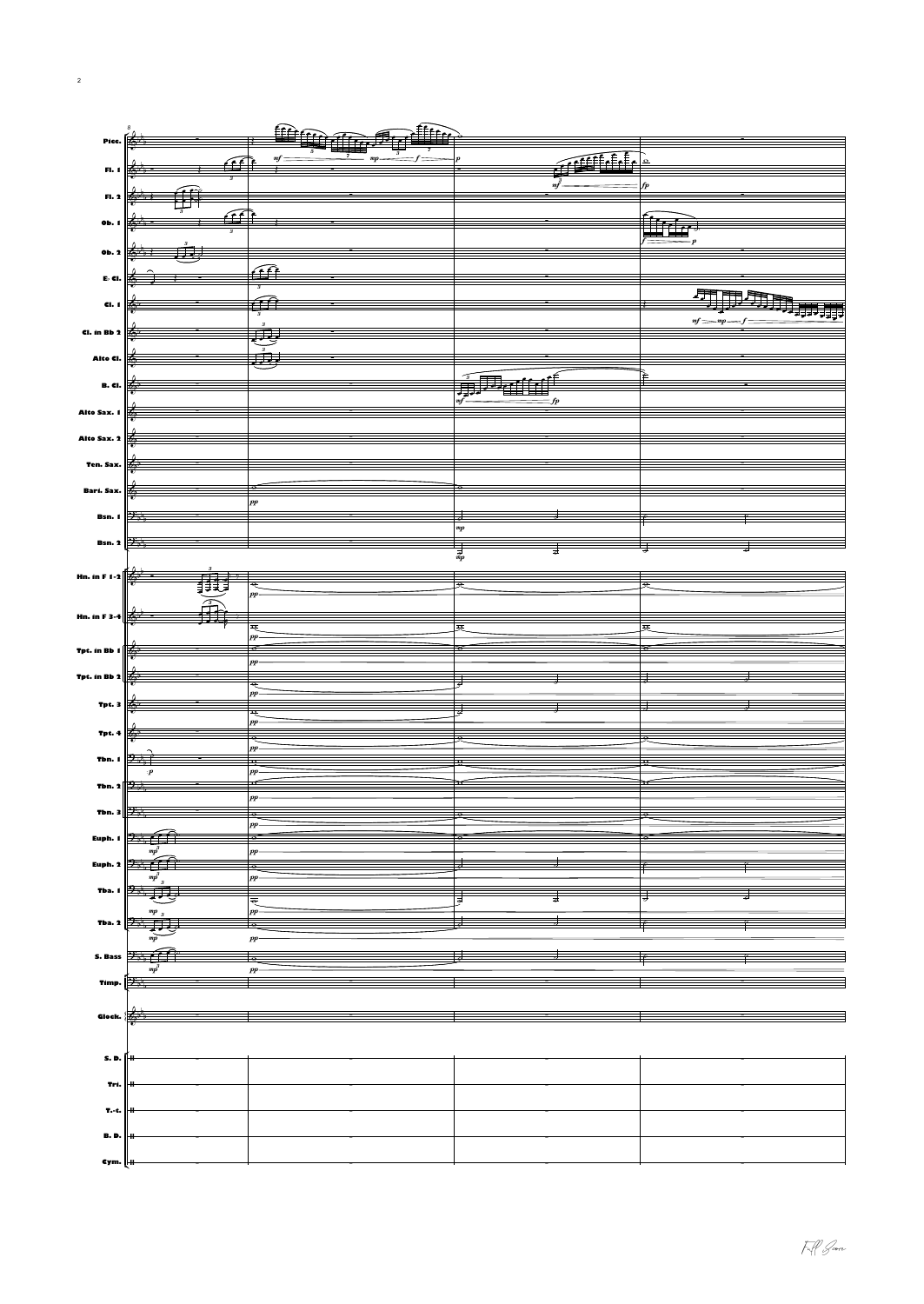|                                            | 8                                                                               |                            | <b>Palice</b><br>$\mathbf{m}_\Omega$                                                      |                                      |                                                                            |                          |
|--------------------------------------------|---------------------------------------------------------------------------------|----------------------------|-------------------------------------------------------------------------------------------|--------------------------------------|----------------------------------------------------------------------------|--------------------------|
| Picc.                                      | 6                                                                               |                            | ga fr                                                                                     |                                      |                                                                            |                          |
|                                            |                                                                                 | $\mathbf{f}$               | $\frac{1}{2}$ mp $\frac{3}{2}$ f =<br>$m\hspace{-0.12cm}/\hspace{-0.12cm}f$ $\equiv$<br>∓ | <b>THE REAL PROPERTY</b>             |                                                                            |                          |
| $Fl$ , $l$                                 | জি                                                                              |                            |                                                                                           | $m\ddot{f}$                          |                                                                            |                          |
| FI.2                                       | $\bigcap$<br>t.                                                                 |                            |                                                                                           |                                      | fp                                                                         |                          |
|                                            | $\overline{\mathbf{3}}$                                                         | ∉≙                         |                                                                                           |                                      |                                                                            |                          |
| <b>Ob.</b> 1                               | 6                                                                               | $\boldsymbol{\mathcal{B}}$ |                                                                                           |                                      | <u> Litin</u>                                                              |                          |
|                                            |                                                                                 |                            |                                                                                           |                                      | $\cdot$ $\boldsymbol{p}$                                                   |                          |
| <b>Ob. 2</b>                               |                                                                                 |                            |                                                                                           |                                      |                                                                            |                          |
| $\mathbf{E}$ Cl.                           | t.                                                                              |                            | £Ĥ                                                                                        |                                      |                                                                            |                          |
|                                            |                                                                                 |                            | $\boldsymbol{\mathcal{S}}$                                                                |                                      | $\frac{1}{\sqrt{2}}$                                                       |                          |
| CI. 1                                      | m                                                                               |                            | €<br>$\boldsymbol{\mathcal{S}}$                                                           |                                      |                                                                            | गग                       |
| Cl. in Bb 2                                |                                                                                 |                            |                                                                                           |                                      | $m\hspace{-1.4pt}/\hspace{-1.2pt} = m\hspace{-1.4pt}/\hspace{-1.2pt} = -f$ |                          |
|                                            | lt⊕                                                                             |                            | 只<br>$\boldsymbol{\mathcal{S}}$                                                           |                                      |                                                                            |                          |
| Alto Cl.                                   |                                                                                 |                            |                                                                                           |                                      |                                                                            |                          |
| $B.$ Cl.                                   |                                                                                 |                            |                                                                                           | $\frac{3}{\Box}$                     |                                                                            |                          |
|                                            | 6                                                                               |                            |                                                                                           | $\frac{1}{\frac{1}{m}}$<br>$\bar{f}$ |                                                                            |                          |
| Alto Sax. I                                | 6                                                                               |                            |                                                                                           |                                      |                                                                            |                          |
|                                            |                                                                                 |                            |                                                                                           |                                      |                                                                            |                          |
| Alto Sax. 2                                | 65                                                                              |                            |                                                                                           |                                      |                                                                            |                          |
| Ten. Sax.                                  | 6                                                                               |                            |                                                                                           |                                      |                                                                            |                          |
|                                            |                                                                                 |                            |                                                                                           |                                      |                                                                            |                          |
| Bari. Sax.                                 | 6                                                                               |                            | pp                                                                                        |                                      |                                                                            |                          |
| Bsn. 1                                     | $\mathcal{P}_{\mathcal{P}_{\mathcal{P}}}$                                       |                            |                                                                                           |                                      |                                                                            |                          |
|                                            |                                                                                 |                            |                                                                                           | $\sqrt{np}$                          |                                                                            |                          |
| Bsn. 2                                     | 12 F                                                                            |                            |                                                                                           | ₹                                    |                                                                            |                          |
|                                            |                                                                                 |                            |                                                                                           |                                      |                                                                            |                          |
| Hn. in F 1-2 $\frac{1}{\sqrt{2}}$          |                                                                                 | <b>FO</b>                  |                                                                                           | Ð                                    |                                                                            |                          |
|                                            |                                                                                 |                            | pp-                                                                                       |                                      |                                                                            |                          |
| Hn. in F 3-4 $\parallel$                   |                                                                                 | $\tilde{\oplus}$           |                                                                                           |                                      |                                                                            |                          |
|                                            |                                                                                 |                            | $pp-$                                                                                     | $\overline{\overline{\mathbf{e}}}$   | $\overline{\bullet}$                                                       |                          |
| Tpt. in Bb 1                               | 6                                                                               |                            | $\sim$                                                                                    | X                                    | ਨ                                                                          |                          |
|                                            |                                                                                 |                            | pp-                                                                                       |                                      |                                                                            |                          |
| Tpt. in Bb $2\sqrt{\frac{2}{\sqrt{3}}}$    |                                                                                 |                            | रु                                                                                        | ŧ                                    |                                                                            |                          |
| rpt. 3                                     | ş                                                                               |                            | $pp-$                                                                                     |                                      |                                                                            |                          |
|                                            |                                                                                 |                            | হ<br>$pp-$                                                                                | 굴                                    |                                                                            |                          |
| Tpt. $4\sqrt{6}$                           |                                                                                 |                            |                                                                                           |                                      |                                                                            |                          |
| Tbn. I                                     | ソー                                                                              |                            | pp-                                                                                       |                                      |                                                                            |                          |
|                                            | $\cdot p$                                                                       |                            | $pp-$                                                                                     |                                      |                                                                            |                          |
| Tbn. 2                                     | $\mathbb{P}_{\mathbb{Z}}$                                                       |                            | $\frac{1}{2}$                                                                             | Ð                                    |                                                                            |                          |
| Tbn. 3 $\boxed{2}$                         |                                                                                 |                            | $pp-$                                                                                     |                                      |                                                                            |                          |
|                                            |                                                                                 |                            | ę<br>$pp-$                                                                                |                                      |                                                                            |                          |
| Euph. 1                                    | $2 + 1$                                                                         |                            | $\leq$                                                                                    |                                      |                                                                            |                          |
|                                            | $\overline{mp}^3$<br>Euph. 2 $\mathbb{Z}$ , $\mathbb{Z}$                        |                            | $pp-$                                                                                     |                                      |                                                                            |                          |
|                                            | $\frac{mp^3}{2}$                                                                |                            | p<br>$pp-$                                                                                |                                      |                                                                            |                          |
|                                            | Tha. $\frac{1}{2}$ , $\frac{1}{2}$                                              |                            |                                                                                           |                                      | Ŧ<br>₹                                                                     |                          |
|                                            |                                                                                 |                            | द<br>$pp-$                                                                                | र                                    |                                                                            |                          |
|                                            | Tba. 2 $\frac{mp_{3}}{2+b_{3}}$                                                 |                            | þ                                                                                         |                                      |                                                                            |                          |
|                                            | $\frac{1}{mp}$                                                                  |                            | $pp-$                                                                                     |                                      |                                                                            |                          |
|                                            | S. Bass $\overline{2}$ , $\overline{2}$<br>$\overline{\mathbf{m} \mathbf{p}^3}$ |                            | $rac{1}{\sqrt{2}}$                                                                        | <del>₫</del>                         | ⊺≏                                                                         |                          |
| Timp.                                      | $9+$                                                                            |                            | $pp-$                                                                                     |                                      |                                                                            |                          |
|                                            |                                                                                 |                            |                                                                                           |                                      |                                                                            |                          |
| Glock. $\left\{\frac{1}{\sqrt{2}}\right\}$ |                                                                                 |                            | Ξ                                                                                         | $\overline{\phantom{a}}$             |                                                                            | $\overline{\phantom{0}}$ |
|                                            |                                                                                 |                            |                                                                                           |                                      |                                                                            |                          |
|                                            |                                                                                 |                            |                                                                                           |                                      |                                                                            |                          |
| S. D. $\left[\frac{1}{11}\right]$          |                                                                                 |                            |                                                                                           |                                      |                                                                            |                          |
| Tri.                                       | #                                                                               |                            |                                                                                           |                                      |                                                                            |                          |
|                                            |                                                                                 |                            |                                                                                           |                                      |                                                                            |                          |
| $T - t$ .                                  | +11-                                                                            |                            |                                                                                           |                                      |                                                                            |                          |
|                                            |                                                                                 |                            |                                                                                           |                                      |                                                                            |                          |
|                                            |                                                                                 |                            |                                                                                           |                                      |                                                                            |                          |
| B. D.                                      |                                                                                 |                            |                                                                                           |                                      |                                                                            |                          |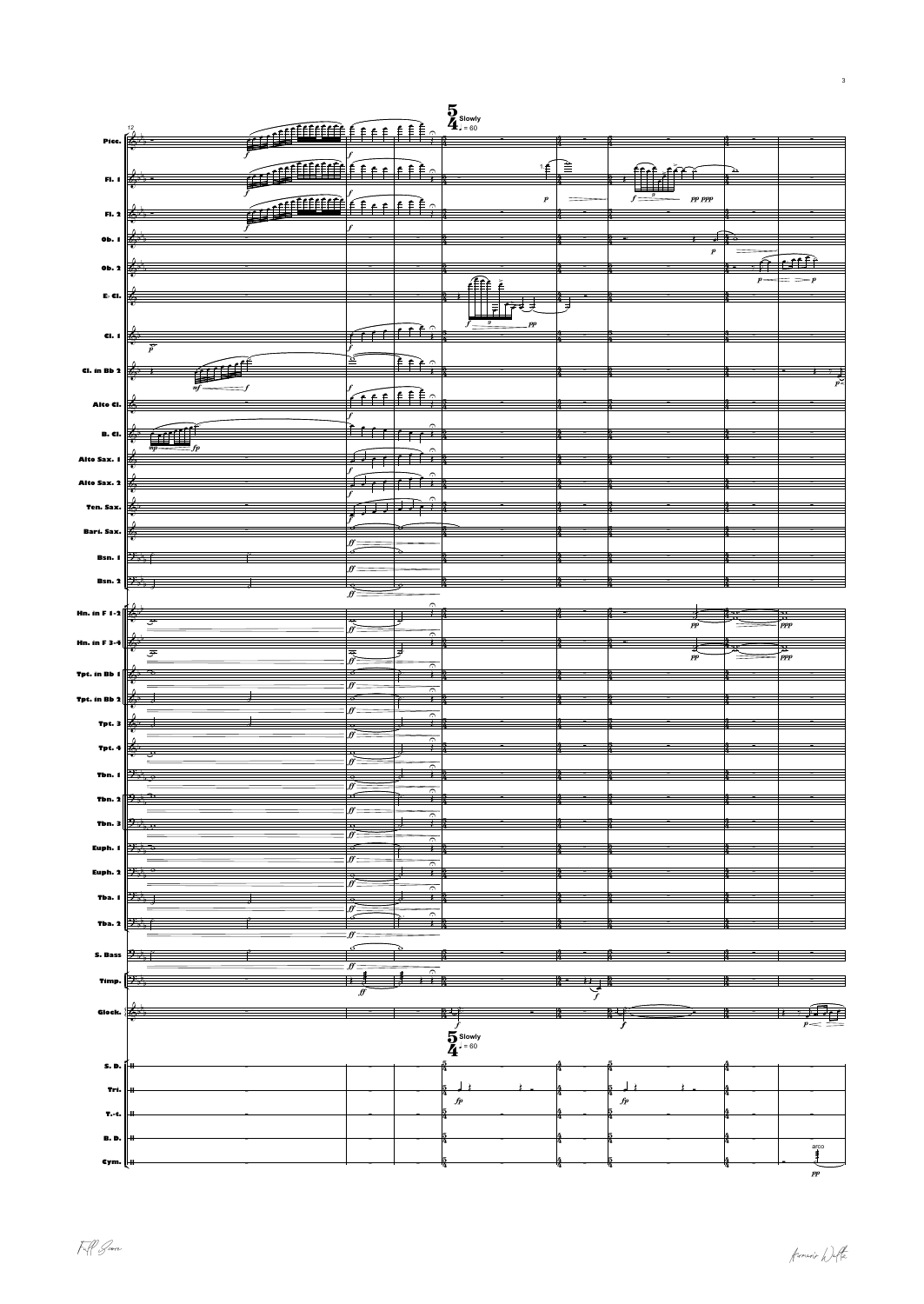| .<br>⊯<br>6∑                                                                     | <u>fffffffffffffffff</u>               |                                                      | $\stackrel{\cdot}{\equiv}$<br>1€                      | <u>ffff</u>                |                                       |
|----------------------------------------------------------------------------------|----------------------------------------|------------------------------------------------------|-------------------------------------------------------|----------------------------|---------------------------------------|
|                                                                                  |                                        |                                                      | $\boldsymbol{p}$                                      | $f =$<br>$-$ <i>pp ppp</i> |                                       |
| 6                                                                                |                                        |                                                      |                                                       |                            |                                       |
|                                                                                  |                                        |                                                      |                                                       |                            |                                       |
| ᢛ                                                                                |                                        |                                                      |                                                       | $\boldsymbol{p}$           | أأنائن                                |
|                                                                                  |                                        |                                                      | 4î                                                    |                            | $=$ $\frac{p}{q}$<br>$\boldsymbol{p}$ |
| 6                                                                                |                                        |                                                      |                                                       |                            |                                       |
| ِ                                                                                |                                        | ے۔<br>$\epsilon$                                     | $\bar{f}$ —<br>$\overline{\boldsymbol{g}}$<br>$_{pp}$ |                            |                                       |
| $\overline{p}$                                                                   | ≊                                      |                                                      |                                                       |                            |                                       |
| $\mathbb{A}^*$                                                                   |                                        | <u>में मैं भी</u>                                    |                                                       |                            | $\frac{1}{p}$                         |
|                                                                                  |                                        | $f \in F$                                            |                                                       |                            |                                       |
|                                                                                  |                                        |                                                      |                                                       |                            |                                       |
| Freechtl<br>6<br>fp                                                              |                                        |                                                      |                                                       |                            |                                       |
|                                                                                  |                                        |                                                      |                                                       |                            |                                       |
|                                                                                  |                                        |                                                      |                                                       |                            |                                       |
| ۵.                                                                               |                                        |                                                      |                                                       |                            |                                       |
| Ŀ.                                                                               |                                        |                                                      |                                                       |                            |                                       |
| $2 + 1$                                                                          | $\frac{f}{f}$                          |                                                      |                                                       |                            |                                       |
| ツァ                                                                               | $ f\hspace{-0.1cm}f\hspace{-0.1cm} $   |                                                      |                                                       |                            |                                       |
|                                                                                  | ∯                                      | ⌒                                                    |                                                       |                            |                                       |
| ⊯<br>ా                                                                           | $\frac{1}{\pi}$                        | $\Omega$                                             |                                                       | $_{pp}$                    | $\frac{\infty}{ppp}$                  |
| Hn. in F 3-4 $\frac{1}{\sqrt{2}}$<br>$\overline{\overline{\overline{v}}}$        | $\frac{1}{\sqrt{\pi}}$                 | ᆂ                                                    |                                                       | pp                         | [ppp]                                 |
| Tpt. in Bb $\mathbf{1}$ $\left \frac{2}{\left \frac{2}{\sqrt{3}}\right }\right $ | $\sim$                                 | $\hat{\phantom{a}}$<br>$\overline{\cdot}$            |                                                       |                            |                                       |
| Tpt. in Bb 2 $\sqrt{\frac{1}{100}}$                                              | $ $ ff $\equiv$<br>$\overline{\cdot}$  | $\hat{\phantom{a}}$<br>ਜ                             |                                                       |                            |                                       |
| Tpt. 3 $\frac{1}{\sqrt{2}}$                                                      | $f f =$                                | $\overline{c}$<br>$\leftarrow$                       |                                                       |                            |                                       |
|                                                                                  | ≂<br>$f f \equiv$                      | Ç<br>$\cdot$                                         |                                                       |                            |                                       |
| 6                                                                                | $\int_{f}$                             | $\overline{c}$                                       |                                                       |                            |                                       |
| $9\%$                                                                            | ≖<br>$f\equiv$                         | $\overline{\phantom{a}}$<br>$\hat{z}$                |                                                       |                            |                                       |
| Tbn. 2 $\sqrt{2\pi}$                                                             | ⋚<br>$f f =$                           | $\overline{\phantom{a}}$<br>$\curvearrowright$       |                                                       |                            |                                       |
| Tbn. 3 $\left\Vert \mathbf{\mathcal{Y}}\right\Vert _{2,\Theta}$                  | $\overline{\cdot}$<br>f                | $\overline{\phantom{0}}$<br>$\overline{\phantom{0}}$ |                                                       |                            |                                       |
| Euph. 1 $2\frac{1}{2}$                                                           | $\overline{\mathscr{E}}$<br>$ $ ff $=$ | $\overline{\phantom{0}}$                             |                                                       |                            |                                       |
| Euph. 2 $\sqrt{2\frac{1}{2} + \frac{9}{1}}$                                      | $\frac{1}{f}$                          | $\hat{\phantom{a}}$<br>美                             |                                                       |                            |                                       |
| $\mathbb{P}_{\mathbb{Z}}$                                                        |                                        | $\overline{z}$<br>$\overline{\cdot}$                 |                                                       |                            |                                       |
| Tba. 2 $\mathcal{D}$                                                             | $\frac{d^2y}{dt^2}$                    | $\widehat{\phantom{a}}$<br>≹⊟                        |                                                       |                            |                                       |
|                                                                                  | $\frac{1}{2}$<br>∝                     |                                                      |                                                       |                            |                                       |
| <b>S. Bass</b> $\frac{1}{2}$                                                     | $f f =$                                |                                                      |                                                       |                            |                                       |
| 9≑                                                                               | ₹<br>∯                                 | $\widehat{\mathbf{z} \cdot \mathbf{z}}$              |                                                       | ₩<br>f                     |                                       |
| <b>Glock.</b> $\sqrt{6}$                                                         |                                        |                                                      | 屠宰                                                    |                            | $\frac{1}{p}$                         |
|                                                                                  |                                        |                                                      | $\bar{5}^{\text{Slowly}}_{4}$                         | $\bm{f}$                   |                                       |
| S. D. $\ \cdot\ $                                                                |                                        |                                                      |                                                       |                            |                                       |
|                                                                                  |                                        |                                                      |                                                       |                            |                                       |
| Ħ                                                                                |                                        |                                                      | $\emph{fp}$                                           | $\emph{fp}$                |                                       |
|                                                                                  |                                        |                                                      |                                                       |                            |                                       |
| #                                                                                |                                        |                                                      |                                                       |                            | arco                                  |
| cym. Į⊕                                                                          |                                        |                                                      |                                                       |                            |                                       |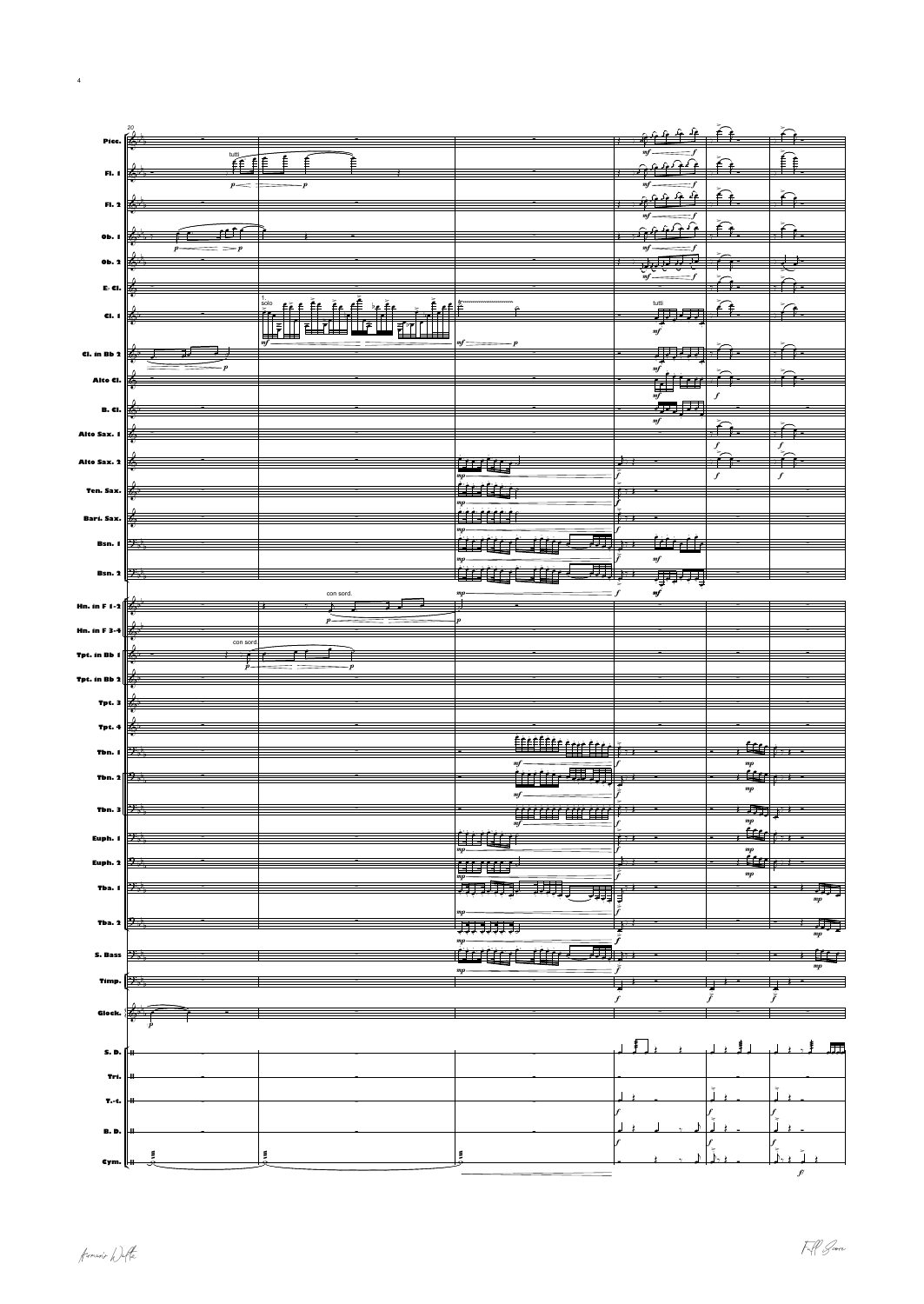| 20                                                       | 65                                                           |                                                                                                                                                                                                                                                                                                                                                    |                                           | 69999                               | $\widehat{\mathbf{H}}$           | $\widehat{\mathbf{D}}$                                                                            |
|----------------------------------------------------------|--------------------------------------------------------------|----------------------------------------------------------------------------------------------------------------------------------------------------------------------------------------------------------------------------------------------------------------------------------------------------------------------------------------------------|-------------------------------------------|-------------------------------------|----------------------------------|---------------------------------------------------------------------------------------------------|
| Picc.                                                    |                                                              | $\mathbf{f}$                                                                                                                                                                                                                                                                                                                                       |                                           |                                     |                                  | $\begin{bmatrix} 1 & 1 \\ 1 & 1 \\ 1 & 1 \end{bmatrix}$                                           |
| <b>FI.1</b>                                              | $\mathbb{G}^{\flat}$                                         | <b>FEFE</b>                                                                                                                                                                                                                                                                                                                                        |                                           | <u>कुस्करन्</u>                     | $\sum_{i=1}^{n}$                 |                                                                                                   |
|                                                          | $p \leftarrow \pm$                                           | $-p$                                                                                                                                                                                                                                                                                                                                               |                                           | $m f -$                             | $\widehat{\epsilon}$ .           | $\sum_{i=1}^{n}$                                                                                  |
| FI. 2                                                    | $6^{\circ}$                                                  |                                                                                                                                                                                                                                                                                                                                                    |                                           | 2000 A                              |                                  |                                                                                                   |
|                                                          | ے ت                                                          |                                                                                                                                                                                                                                                                                                                                                    |                                           | $m f -$<br>3.9.9.9.0                | $\widehat{\mathbf{f}}$           | $\widehat{\bigoplus}$                                                                             |
| <b>Ob.</b> 1                                             | $\overline{\mathbb{C}^{5}$<br>۴<br>$=$ $\frac{p}{q}$<br>$p-$ |                                                                                                                                                                                                                                                                                                                                                    |                                           | $\it mf$ —                          |                                  |                                                                                                   |
| 6<br><b>Ob. 2</b>                                        |                                                              |                                                                                                                                                                                                                                                                                                                                                    |                                           |                                     |                                  |                                                                                                   |
|                                                          |                                                              |                                                                                                                                                                                                                                                                                                                                                    |                                           |                                     |                                  |                                                                                                   |
| E, CI.<br>€6                                             |                                                              |                                                                                                                                                                                                                                                                                                                                                    |                                           |                                     |                                  |                                                                                                   |
| <b>CI.</b> 1                                             | ি                                                            | $\frac{1}{\frac{\text{solo}}{\text{f}}\cdot\frac{1}{\sqrt{\frac{1}{\sqrt{1}}}}}}$<br>$\frac{1}{2}$ $\frac{1}{2}$<br>יְהוֹ הַבְּהוֹ הַבְּה הַבְּה הַבְּה הַבְּה הַבְּה הַבְּה הַבְּה הַבְּה הַבְּה הַבְּה הַבְּה הַבְּה הַבְּה הַ<br>הְחַבְּה הַבְּה הַבְּה הַבְּה הַבְּה הַבְּה הַבְּה הַבְּה הַבְּה הַבְּה הַבְּה הַבְּה הַבְּה הַבְּה הַבְּה הַב |                                           | $\overline{1}$                      | $\widehat{+}$                    | $\widetilde{\mathcal{F}}$ .                                                                       |
|                                                          |                                                              | र्∎<br>$\mathbf{L}$                                                                                                                                                                                                                                                                                                                                |                                           | $\sum_{m \in \mathbb{Z}}$           |                                  |                                                                                                   |
| Cl. in Bb 2<br>6                                         | ⇁                                                            | $\frac{1}{\sqrt{m}}$                                                                                                                                                                                                                                                                                                                               | $m f =$                                   | 用力                                  | <u>चँकि</u>                      | <u>नंति -</u>                                                                                     |
|                                                          | $-p$                                                         |                                                                                                                                                                                                                                                                                                                                                    |                                           | mf                                  |                                  | $\overbrace{\cdots}$                                                                              |
| Alto Cl.<br>т.                                           |                                                              |                                                                                                                                                                                                                                                                                                                                                    |                                           |                                     | $\overline{\cdots}$              |                                                                                                   |
| <b>B. CI.</b>                                            |                                                              |                                                                                                                                                                                                                                                                                                                                                    |                                           | $\overline{\mathit{mf}}$<br>राज, उर | $\boldsymbol{f}$                 |                                                                                                   |
|                                                          | $\mathbb{G}^{\flat}$                                         |                                                                                                                                                                                                                                                                                                                                                    |                                           | $m\!f$                              | $\widehat{\mathcal{F}}$          |                                                                                                   |
| Alto Sax. I<br>6                                         |                                                              |                                                                                                                                                                                                                                                                                                                                                    |                                           |                                     |                                  | $\widehat{\mathcal{F}}$<br>$\boldsymbol{f}$                                                       |
| Alto Sax. 2<br>6                                         |                                                              |                                                                                                                                                                                                                                                                                                                                                    | معترفة                                    | $\rightarrow$                       | $\frac{f}{f}$<br>$\cdot$ $\cdot$ | <u>ہے۔</u>                                                                                        |
|                                                          |                                                              |                                                                                                                                                                                                                                                                                                                                                    | $_{mp}$                                   |                                     | $\boldsymbol{f}$                 | $\boldsymbol{f}$                                                                                  |
| Ten. Sax.<br>$\bigoplus$                                 |                                                              |                                                                                                                                                                                                                                                                                                                                                    | <u>reachda</u>                            | $\frac{1}{2}$                       |                                  |                                                                                                   |
|                                                          |                                                              |                                                                                                                                                                                                                                                                                                                                                    | $\mathfrak{m}p$<br><u>، ، ، ، ، ، ، ،</u> | D 7 3                               |                                  |                                                                                                   |
| Bari. Sax.<br>∞                                          |                                                              |                                                                                                                                                                                                                                                                                                                                                    | mр                                        |                                     |                                  |                                                                                                   |
| <b>Bsn.</b> 1 $2\frac{1}{2}$                             |                                                              |                                                                                                                                                                                                                                                                                                                                                    | .<br>$\sim$                               | Ħ                                   |                                  |                                                                                                   |
| <b>Bsn.</b> 2 $\overline{27}$                            |                                                              |                                                                                                                                                                                                                                                                                                                                                    | $_{\it mp}$<br>riceren<br>.               | $m\!f$                              |                                  |                                                                                                   |
|                                                          |                                                              |                                                                                                                                                                                                                                                                                                                                                    |                                           | $\overline{\phantom{a}}$<br>厚       |                                  |                                                                                                   |
| Hn. in F $1-2$ $\sqrt{\frac{1}{100}}$                    |                                                              | con sord.                                                                                                                                                                                                                                                                                                                                          | $mp-$                                     |                                     |                                  |                                                                                                   |
|                                                          |                                                              | $p-$                                                                                                                                                                                                                                                                                                                                               | $\boldsymbol{p}$                          |                                     |                                  |                                                                                                   |
| 圈<br><b>Hn.</b> in F 3-4                                 | con sord.                                                    |                                                                                                                                                                                                                                                                                                                                                    |                                           |                                     |                                  |                                                                                                   |
| ౕ<br>Tpt. in Bb 1                                        | $\rightarrow$ $\rightarrow$ $\rightarrow$                    |                                                                                                                                                                                                                                                                                                                                                    |                                           |                                     |                                  |                                                                                                   |
| Tpt. in Bb 2                                             | $\boldsymbol{p}$<br>$\overline{\mathbb{C}}$                  | $\cdot$ $\boldsymbol{p}$                                                                                                                                                                                                                                                                                                                           |                                           |                                     |                                  |                                                                                                   |
|                                                          |                                                              |                                                                                                                                                                                                                                                                                                                                                    |                                           |                                     |                                  |                                                                                                   |
| Tpt. 3<br>€                                              |                                                              |                                                                                                                                                                                                                                                                                                                                                    |                                           |                                     |                                  |                                                                                                   |
| Tpt. 4<br>to,                                            |                                                              |                                                                                                                                                                                                                                                                                                                                                    |                                           |                                     |                                  |                                                                                                   |
| Tbn. I                                                   | 9≑                                                           |                                                                                                                                                                                                                                                                                                                                                    | ffefffer eer ree                          |                                     |                                  | $\mathbf{w}_{i+1}$                                                                                |
|                                                          |                                                              |                                                                                                                                                                                                                                                                                                                                                    | m f                                       |                                     | $\binom{mp}{2}$                  |                                                                                                   |
| <b>Tbn. 2</b>                                            | $2+$                                                         |                                                                                                                                                                                                                                                                                                                                                    | <u>terree Juli</u>                        |                                     |                                  | $\frac{1}{2}$                                                                                     |
|                                                          |                                                              |                                                                                                                                                                                                                                                                                                                                                    | mf                                        |                                     | $_{\it mp}$                      |                                                                                                   |
| Tbn. 3 $\mathcal{P}$                                     |                                                              |                                                                                                                                                                                                                                                                                                                                                    | <u>eccesses sere serel 672</u><br>mf      |                                     | È<br>$_{\it mp}$                 | $\vee$ :                                                                                          |
| Euph. 1                                                  | 9≑                                                           |                                                                                                                                                                                                                                                                                                                                                    | <del>ree et ee ee</del>                   | 大方头                                 | k                                |                                                                                                   |
|                                                          |                                                              |                                                                                                                                                                                                                                                                                                                                                    | $_{mp}$                                   |                                     | $\binom{mp}{2}$                  |                                                                                                   |
| Euph. 2                                                  | ジャ                                                           |                                                                                                                                                                                                                                                                                                                                                    | $\frac{1}{\frac{mp}{}}$                   | $\rightarrow$ $\rightarrow$         | $\sqrt{np}$                      | $\mathcal{L}$ $\mathcal{L}$ $\mathcal{L}$ $\mathcal{L}$ $\mathcal{L}$ $\mathcal{L}$ $\mathcal{L}$ |
|                                                          | ソナ                                                           |                                                                                                                                                                                                                                                                                                                                                    | 月                                         | $\rightarrow$ $\rightarrow$         |                                  | •.                                                                                                |
|                                                          |                                                              |                                                                                                                                                                                                                                                                                                                                                    | тp                                        |                                     |                                  | $\it mp$                                                                                          |
|                                                          |                                                              |                                                                                                                                                                                                                                                                                                                                                    |                                           |                                     |                                  |                                                                                                   |
| Tba. I<br>Tba. 2                                         | $\mathcal{P}$                                                |                                                                                                                                                                                                                                                                                                                                                    |                                           |                                     |                                  | $\binom{mp}{2}$                                                                                   |
|                                                          |                                                              |                                                                                                                                                                                                                                                                                                                                                    | स्राप्त<br>$\binom{mp}{2}$                |                                     |                                  |                                                                                                   |
|                                                          | $\rightarrow$                                                |                                                                                                                                                                                                                                                                                                                                                    | recerec                                   | $\rightarrow$ $\rightarrow$         |                                  | ff e                                                                                              |
|                                                          | $2\pm$                                                       |                                                                                                                                                                                                                                                                                                                                                    | $mp-$                                     |                                     |                                  | $\it mp$                                                                                          |
|                                                          |                                                              |                                                                                                                                                                                                                                                                                                                                                    |                                           |                                     |                                  |                                                                                                   |
|                                                          | $\sqrt{(\alpha)^2 + 1}$                                      |                                                                                                                                                                                                                                                                                                                                                    |                                           |                                     |                                  |                                                                                                   |
|                                                          | $\cdot \bm{p}$                                               |                                                                                                                                                                                                                                                                                                                                                    |                                           |                                     |                                  |                                                                                                   |
|                                                          |                                                              |                                                                                                                                                                                                                                                                                                                                                    |                                           | €                                   | ŧ                                | Ŧ<br>玩                                                                                            |
|                                                          |                                                              |                                                                                                                                                                                                                                                                                                                                                    |                                           |                                     |                                  |                                                                                                   |
|                                                          |                                                              |                                                                                                                                                                                                                                                                                                                                                    |                                           |                                     |                                  |                                                                                                   |
| S. Bass<br>Timp.<br>Glock.<br>S. D.<br>Tri.<br>$T - t$ . |                                                              |                                                                                                                                                                                                                                                                                                                                                    |                                           |                                     |                                  |                                                                                                   |
|                                                          |                                                              |                                                                                                                                                                                                                                                                                                                                                    |                                           |                                     |                                  |                                                                                                   |
|                                                          |                                                              |                                                                                                                                                                                                                                                                                                                                                    |                                           |                                     |                                  |                                                                                                   |
| <b>B. D.</b>                                             | Ē                                                            | Ē,                                                                                                                                                                                                                                                                                                                                                 | Ē,                                        |                                     |                                  |                                                                                                   |
| $cym.$ $\ $ $\ $                                         |                                                              |                                                                                                                                                                                                                                                                                                                                                    |                                           |                                     |                                  | $f\hspace{-0.8mm}/\hspace{0.2mm}$                                                                 |
|                                                          |                                                              |                                                                                                                                                                                                                                                                                                                                                    |                                           |                                     |                                  |                                                                                                   |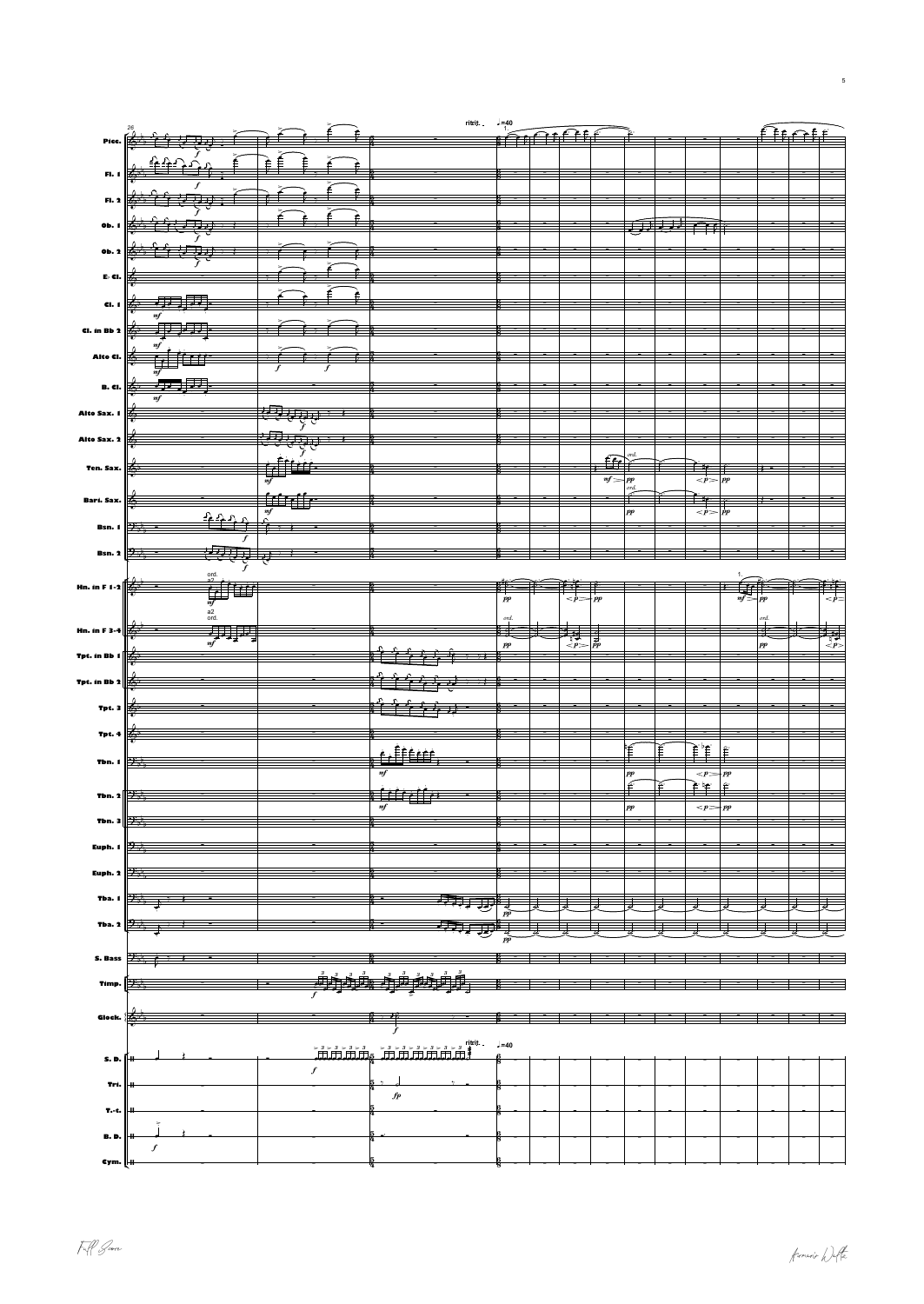|                                                                            |                                                                                                                                                                                                                                                                                                                                                                             |                                                                                                                                                                                                                                                                                                                                                         |                                 |                       | ritrit.                     | $\frac{1}{1}$ =40 |            |                                                                                                                                              |                |                                                       |    |                           |                          |               |        |                               |
|----------------------------------------------------------------------------|-----------------------------------------------------------------------------------------------------------------------------------------------------------------------------------------------------------------------------------------------------------------------------------------------------------------------------------------------------------------------------|---------------------------------------------------------------------------------------------------------------------------------------------------------------------------------------------------------------------------------------------------------------------------------------------------------------------------------------------------------|---------------------------------|-----------------------|-----------------------------|-------------------|------------|----------------------------------------------------------------------------------------------------------------------------------------------|----------------|-------------------------------------------------------|----|---------------------------|--------------------------|---------------|--------|-------------------------------|
| Picc.                                                                      | ودارها بأعاث                                                                                                                                                                                                                                                                                                                                                                |                                                                                                                                                                                                                                                                                                                                                         |                                 |                       |                             | 656               | $\epsilon$ | 6.66                                                                                                                                         |                |                                                       |    |                           |                          |               | ftrett |                               |
|                                                                            | <u> 40,000 p</u>                                                                                                                                                                                                                                                                                                                                                            |                                                                                                                                                                                                                                                                                                                                                         | $\tilde{\mathbf{f}}$<br>Ē<br>Ė. |                       |                             |                   |            |                                                                                                                                              |                |                                                       |    |                           |                          |               |        |                               |
| Fl.1                                                                       |                                                                                                                                                                                                                                                                                                                                                                             |                                                                                                                                                                                                                                                                                                                                                         |                                 |                       |                             |                   |            |                                                                                                                                              |                |                                                       |    |                           |                          |               |        |                               |
|                                                                            |                                                                                                                                                                                                                                                                                                                                                                             |                                                                                                                                                                                                                                                                                                                                                         |                                 |                       |                             |                   |            |                                                                                                                                              |                |                                                       |    |                           |                          |               |        |                               |
| FI. 2                                                                      |                                                                                                                                                                                                                                                                                                                                                                             |                                                                                                                                                                                                                                                                                                                                                         |                                 |                       |                             |                   |            |                                                                                                                                              |                |                                                       |    |                           |                          |               |        |                               |
| <b>Ob.</b> 1                                                               | بوروباني                                                                                                                                                                                                                                                                                                                                                                    |                                                                                                                                                                                                                                                                                                                                                         |                                 |                       |                             |                   |            |                                                                                                                                              |                | ま理                                                    |    |                           |                          |               |        |                               |
|                                                                            |                                                                                                                                                                                                                                                                                                                                                                             |                                                                                                                                                                                                                                                                                                                                                         |                                 |                       |                             |                   |            |                                                                                                                                              |                |                                                       |    |                           |                          |               |        |                               |
| $0b$ , 2                                                                   | י <del>קודק? ז'</del> ז'<br>(4)                                                                                                                                                                                                                                                                                                                                             |                                                                                                                                                                                                                                                                                                                                                         |                                 |                       |                             |                   |            |                                                                                                                                              |                |                                                       |    |                           |                          |               |        |                               |
|                                                                            |                                                                                                                                                                                                                                                                                                                                                                             |                                                                                                                                                                                                                                                                                                                                                         |                                 |                       |                             |                   |            |                                                                                                                                              |                |                                                       |    |                           |                          |               |        |                               |
| E, CI.                                                                     |                                                                                                                                                                                                                                                                                                                                                                             |                                                                                                                                                                                                                                                                                                                                                         |                                 |                       |                             |                   |            |                                                                                                                                              |                |                                                       |    |                           |                          |               |        |                               |
| <b>CI.</b> 1                                                               | मन ज<br>6                                                                                                                                                                                                                                                                                                                                                                   |                                                                                                                                                                                                                                                                                                                                                         |                                 | €                     |                             |                   |            |                                                                                                                                              |                |                                                       |    |                           |                          |               |        |                               |
|                                                                            |                                                                                                                                                                                                                                                                                                                                                                             |                                                                                                                                                                                                                                                                                                                                                         |                                 |                       |                             |                   |            |                                                                                                                                              |                |                                                       |    |                           |                          |               |        |                               |
| Cl. in Bb 2                                                                | أحجاجهم<br>कि                                                                                                                                                                                                                                                                                                                                                               |                                                                                                                                                                                                                                                                                                                                                         |                                 |                       |                             |                   |            |                                                                                                                                              |                |                                                       |    |                           |                          |               |        |                               |
|                                                                            |                                                                                                                                                                                                                                                                                                                                                                             |                                                                                                                                                                                                                                                                                                                                                         |                                 |                       |                             |                   |            |                                                                                                                                              |                |                                                       |    |                           |                          |               |        |                               |
| Alto Cl.                                                                   | <u>fferr</u><br>ω.<br>$\overline{\mathbf{r}}$                                                                                                                                                                                                                                                                                                                               |                                                                                                                                                                                                                                                                                                                                                         |                                 |                       |                             |                   |            |                                                                                                                                              |                |                                                       |    |                           |                          |               |        |                               |
|                                                                            | m f                                                                                                                                                                                                                                                                                                                                                                         |                                                                                                                                                                                                                                                                                                                                                         |                                 |                       |                             |                   |            |                                                                                                                                              |                |                                                       |    |                           |                          |               |        |                               |
| B. CI.                                                                     | यान<br>Ġ,<br>mf                                                                                                                                                                                                                                                                                                                                                             |                                                                                                                                                                                                                                                                                                                                                         |                                 |                       |                             |                   |            |                                                                                                                                              |                |                                                       |    |                           |                          |               |        |                               |
| Alto Sax. I                                                                |                                                                                                                                                                                                                                                                                                                                                                             |                                                                                                                                                                                                                                                                                                                                                         |                                 |                       |                             |                   |            |                                                                                                                                              |                |                                                       |    |                           |                          |               |        |                               |
|                                                                            |                                                                                                                                                                                                                                                                                                                                                                             |                                                                                                                                                                                                                                                                                                                                                         | स्टस्कृर                        |                       |                             |                   |            |                                                                                                                                              |                |                                                       |    |                           |                          |               |        |                               |
| Alto Sax. 2                                                                | τ.                                                                                                                                                                                                                                                                                                                                                                          |                                                                                                                                                                                                                                                                                                                                                         | स्पितृत                         |                       |                             |                   |            |                                                                                                                                              |                |                                                       |    |                           |                          |               |        |                               |
|                                                                            |                                                                                                                                                                                                                                                                                                                                                                             |                                                                                                                                                                                                                                                                                                                                                         |                                 |                       |                             |                   |            |                                                                                                                                              | ি              |                                                       |    |                           |                          |               |        |                               |
| Ten. Sax.                                                                  | ௯                                                                                                                                                                                                                                                                                                                                                                           |                                                                                                                                                                                                                                                                                                                                                         |                                 |                       |                             |                   |            |                                                                                                                                              |                |                                                       |    | te -                      |                          | $\frac{1}{2}$ |        |                               |
|                                                                            |                                                                                                                                                                                                                                                                                                                                                                             |                                                                                                                                                                                                                                                                                                                                                         |                                 |                       |                             |                   |            |                                                                                                                                              | $\sqrt{mf}$ pp | ord.                                                  |    | p > p                     |                          |               |        |                               |
| Bari. Sax.                                                                 | m                                                                                                                                                                                                                                                                                                                                                                           |                                                                                                                                                                                                                                                                                                                                                         | منتفة                           |                       |                             |                   |            |                                                                                                                                              |                |                                                       |    | $\frac{1}{2}$             |                          | $\cdot$       |        |                               |
|                                                                            |                                                                                                                                                                                                                                                                                                                                                                             | उस्तर                                                                                                                                                                                                                                                                                                                                                   | mf                              |                       |                             |                   |            |                                                                                                                                              |                | pp                                                    |    | $\lt p > p$               |                          |               |        |                               |
| Bsn. 1                                                                     | $\mathcal{P}_{\mathcal{P}_k}$ .                                                                                                                                                                                                                                                                                                                                             |                                                                                                                                                                                                                                                                                                                                                         |                                 |                       |                             |                   |            |                                                                                                                                              |                |                                                       |    |                           |                          |               |        |                               |
|                                                                            | $2_{+}$                                                                                                                                                                                                                                                                                                                                                                     |                                                                                                                                                                                                                                                                                                                                                         | $+$ $+$                         |                       |                             |                   |            |                                                                                                                                              |                |                                                       |    |                           |                          |               |        |                               |
| <b>Bsn. 2</b>                                                              |                                                                                                                                                                                                                                                                                                                                                                             | <del>न्द्राप्</del> र                                                                                                                                                                                                                                                                                                                                   |                                 |                       |                             |                   |            |                                                                                                                                              |                |                                                       |    |                           |                          |               |        |                               |
|                                                                            |                                                                                                                                                                                                                                                                                                                                                                             | $rac{1}{\sqrt{1+\frac{1}{n}}}\sqrt{\frac{1}{n}}$<br>$rac{1}{n}$<br>$rac{1}{n}$<br>$rac{1}{n}$<br>$rac{1}{n}$<br>$rac{1}{n}$<br>$rac{1}{n}$<br>$rac{1}{n}$<br>$rac{1}{n}$<br>$rac{1}{n}$<br>$rac{1}{n}$<br>$rac{1}{n}$<br>$rac{1}{n}$<br>$rac{1}{n}$<br>$rac{1}{n}$<br>$rac{1}{n}$<br>$rac{1}{n}$<br>$rac{1}{n}$<br>$rac{1}{n}$<br>$rac{1}{n}$<br>$rac{$ |                                 |                       |                             |                   |            |                                                                                                                                              |                |                                                       |    |                           | $\overline{1}$           |               |        |                               |
| Hn. in F $1-2$ $\left[\frac{1}{\sqrt{3}}\right]$                           |                                                                                                                                                                                                                                                                                                                                                                             |                                                                                                                                                                                                                                                                                                                                                         |                                 |                       |                             | pp                |            | F K.<br>$\lt p$ - pp                                                                                                                         | ⊣ ይ            |                                                       |    |                           | <br>$\frac{1}{\sqrt{m}}$ |               |        | 手作<br>$\lt p \gt$             |
|                                                                            |                                                                                                                                                                                                                                                                                                                                                                             |                                                                                                                                                                                                                                                                                                                                                         |                                 |                       |                             |                   |            |                                                                                                                                              |                |                                                       |    |                           |                          |               |        |                               |
| Hn. in F 3-4 $\left\  \begin{array}{c} \right\  \rightarrow \ \end{array}$ |                                                                                                                                                                                                                                                                                                                                                                             |                                                                                                                                                                                                                                                                                                                                                         |                                 |                       |                             | ord.              |            |                                                                                                                                              |                |                                                       |    |                           |                          | ord.          |        |                               |
|                                                                            | $\begin{picture}(20,20) \put(0,0){\vector(1,0){10}} \put(15,0){\vector(1,0){10}} \put(15,0){\vector(1,0){10}} \put(15,0){\vector(1,0){10}} \put(15,0){\vector(1,0){10}} \put(15,0){\vector(1,0){10}} \put(15,0){\vector(1,0){10}} \put(15,0){\vector(1,0){10}} \put(15,0){\vector(1,0){10}} \put(15,0){\vector(1,0){10}} \put(15,0){\vector(1,0){10}} \put(15,0){\vector(1$ |                                                                                                                                                                                                                                                                                                                                                         |                                 |                       |                             |                   |            | $\begin{array}{c c}\n\bullet & \bullet \\ \downarrow & \bullet \\ \hline\n\downarrow & \downarrow \\ \hline\n\downarrow & \rho\n\end{array}$ |                |                                                       |    |                           |                          |               |        | $\frac{1}{\frac{1}{\zeta p}}$ |
|                                                                            |                                                                                                                                                                                                                                                                                                                                                                             |                                                                                                                                                                                                                                                                                                                                                         |                                 |                       |                             |                   |            |                                                                                                                                              |                |                                                       |    |                           |                          |               |        |                               |
|                                                                            | 75                                                                                                                                                                                                                                                                                                                                                                          |                                                                                                                                                                                                                                                                                                                                                         |                                 |                       |                             | $\boldsymbol{pp}$ |            |                                                                                                                                              |                |                                                       |    |                           |                          | pp            |        | ÷                             |
|                                                                            |                                                                                                                                                                                                                                                                                                                                                                             |                                                                                                                                                                                                                                                                                                                                                         |                                 |                       |                             |                   |            |                                                                                                                                              |                |                                                       |    |                           |                          |               |        |                               |
|                                                                            | 6                                                                                                                                                                                                                                                                                                                                                                           |                                                                                                                                                                                                                                                                                                                                                         |                                 |                       |                             |                   |            |                                                                                                                                              |                |                                                       |    |                           |                          |               |        |                               |
|                                                                            |                                                                                                                                                                                                                                                                                                                                                                             |                                                                                                                                                                                                                                                                                                                                                         |                                 |                       | $\alpha - \alpha$<br>$\sim$ |                   |            |                                                                                                                                              |                |                                                       |    |                           |                          |               |        |                               |
| Tpt. 3 $\frac{1}{2}$                                                       |                                                                                                                                                                                                                                                                                                                                                                             |                                                                                                                                                                                                                                                                                                                                                         |                                 |                       |                             |                   |            |                                                                                                                                              |                |                                                       |    |                           |                          |               |        |                               |
|                                                                            |                                                                                                                                                                                                                                                                                                                                                                             |                                                                                                                                                                                                                                                                                                                                                         |                                 |                       |                             |                   |            |                                                                                                                                              |                |                                                       |    |                           |                          |               |        |                               |
| Tpt. 4                                                                     | 6                                                                                                                                                                                                                                                                                                                                                                           |                                                                                                                                                                                                                                                                                                                                                         |                                 |                       |                             |                   |            |                                                                                                                                              |                |                                                       |    |                           |                          |               |        |                               |
| Tbn. I                                                                     | <del>ب ز</del>                                                                                                                                                                                                                                                                                                                                                              |                                                                                                                                                                                                                                                                                                                                                         |                                 |                       | <u>r ffirr</u>              |                   |            |                                                                                                                                              |                | 笔                                                     | ₽  | È'≣                       | $\hat{E}$                |               |        |                               |
|                                                                            |                                                                                                                                                                                                                                                                                                                                                                             |                                                                                                                                                                                                                                                                                                                                                         |                                 |                       | m f                         |                   |            |                                                                                                                                              |                |                                                       |    | $\leq p \geq p$           |                          |               |        |                               |
|                                                                            |                                                                                                                                                                                                                                                                                                                                                                             |                                                                                                                                                                                                                                                                                                                                                         |                                 |                       | $\sim$                      |                   |            |                                                                                                                                              |                | $\begin{array}{c} \boxed{pp} \\ \text{f} \end{array}$ | e. | ≩⊭                        | $\hat{f}$                |               |        |                               |
| Tbn. 2                                                                     | <del>پنز</del>                                                                                                                                                                                                                                                                                                                                                              |                                                                                                                                                                                                                                                                                                                                                         |                                 |                       | $\it mf$                    |                   |            |                                                                                                                                              |                | pp                                                    |    | $\lt p \gt \overline{pp}$ |                          |               |        |                               |
| Tbn. $3$                                                                   | $9+$                                                                                                                                                                                                                                                                                                                                                                        |                                                                                                                                                                                                                                                                                                                                                         |                                 |                       |                             |                   |            |                                                                                                                                              |                |                                                       |    |                           |                          |               |        |                               |
|                                                                            |                                                                                                                                                                                                                                                                                                                                                                             |                                                                                                                                                                                                                                                                                                                                                         |                                 |                       |                             |                   |            |                                                                                                                                              |                |                                                       |    |                           |                          |               |        |                               |
|                                                                            | ナ                                                                                                                                                                                                                                                                                                                                                                           |                                                                                                                                                                                                                                                                                                                                                         |                                 |                       |                             |                   |            |                                                                                                                                              |                |                                                       |    |                           |                          |               |        |                               |
|                                                                            |                                                                                                                                                                                                                                                                                                                                                                             |                                                                                                                                                                                                                                                                                                                                                         |                                 |                       |                             |                   |            |                                                                                                                                              |                |                                                       |    |                           |                          |               |        |                               |
| Euph. 1<br>Euph. 2                                                         | י≓ל                                                                                                                                                                                                                                                                                                                                                                         |                                                                                                                                                                                                                                                                                                                                                         |                                 |                       |                             |                   |            |                                                                                                                                              |                |                                                       |    |                           |                          |               |        |                               |
| Tba. I                                                                     | ソア                                                                                                                                                                                                                                                                                                                                                                          |                                                                                                                                                                                                                                                                                                                                                         |                                 |                       |                             |                   |            |                                                                                                                                              |                |                                                       |    |                           |                          |               |        |                               |
| Tpt. in Bb 1<br>Tpt. in Bb 2                                               |                                                                                                                                                                                                                                                                                                                                                                             |                                                                                                                                                                                                                                                                                                                                                         |                                 |                       | جرد<br>₩                    | ₹<br>$p\bar{p}$   |            |                                                                                                                                              |                |                                                       |    |                           |                          |               |        |                               |
| Tba. 2                                                                     |                                                                                                                                                                                                                                                                                                                                                                             |                                                                                                                                                                                                                                                                                                                                                         |                                 |                       |                             |                   |            |                                                                                                                                              |                |                                                       |    |                           |                          |               |        |                               |
|                                                                            |                                                                                                                                                                                                                                                                                                                                                                             |                                                                                                                                                                                                                                                                                                                                                         |                                 |                       |                             |                   |            |                                                                                                                                              |                |                                                       |    |                           |                          |               |        |                               |
|                                                                            | 艺式                                                                                                                                                                                                                                                                                                                                                                          |                                                                                                                                                                                                                                                                                                                                                         |                                 |                       |                             |                   |            |                                                                                                                                              |                |                                                       |    |                           |                          |               |        |                               |
|                                                                            |                                                                                                                                                                                                                                                                                                                                                                             |                                                                                                                                                                                                                                                                                                                                                         |                                 |                       |                             |                   |            |                                                                                                                                              |                |                                                       |    |                           |                          |               |        |                               |
| Timp.                                                                      |                                                                                                                                                                                                                                                                                                                                                                             |                                                                                                                                                                                                                                                                                                                                                         |                                 | <b>JA</b><br>j        | Ď                           |                   |            |                                                                                                                                              |                |                                                       |    |                           |                          |               |        |                               |
|                                                                            |                                                                                                                                                                                                                                                                                                                                                                             |                                                                                                                                                                                                                                                                                                                                                         |                                 | $\boldsymbol{f}$      |                             |                   |            |                                                                                                                                              |                |                                                       |    |                           |                          |               |        |                               |
| Glock.                                                                     | $\sqrt{2}$                                                                                                                                                                                                                                                                                                                                                                  |                                                                                                                                                                                                                                                                                                                                                         |                                 |                       |                             |                   |            |                                                                                                                                              |                |                                                       |    |                           |                          |               |        | --                            |
|                                                                            |                                                                                                                                                                                                                                                                                                                                                                             |                                                                                                                                                                                                                                                                                                                                                         |                                 |                       |                             |                   |            |                                                                                                                                              |                |                                                       |    |                           |                          |               |        |                               |
|                                                                            |                                                                                                                                                                                                                                                                                                                                                                             |                                                                                                                                                                                                                                                                                                                                                         |                                 |                       |                             | $l = 40$          |            |                                                                                                                                              |                |                                                       |    |                           |                          |               |        |                               |
| S. D.                                                                      |                                                                                                                                                                                                                                                                                                                                                                             |                                                                                                                                                                                                                                                                                                                                                         |                                 | ҇҅ <del>Ӆ</del> ҅Ӆ҅Ӆ҄ |                             |                   |            |                                                                                                                                              |                |                                                       |    |                           |                          |               |        |                               |
|                                                                            |                                                                                                                                                                                                                                                                                                                                                                             |                                                                                                                                                                                                                                                                                                                                                         |                                 | $\boldsymbol{f}$      |                             |                   |            |                                                                                                                                              |                |                                                       |    |                           |                          |               |        |                               |
| Tri.                                                                       |                                                                                                                                                                                                                                                                                                                                                                             |                                                                                                                                                                                                                                                                                                                                                         |                                 |                       |                             |                   |            |                                                                                                                                              |                |                                                       |    |                           |                          |               |        |                               |
|                                                                            |                                                                                                                                                                                                                                                                                                                                                                             |                                                                                                                                                                                                                                                                                                                                                         |                                 |                       | $\emph{fp}$                 |                   |            |                                                                                                                                              |                |                                                       |    |                           |                          |               |        |                               |
| $T - t$ .                                                                  |                                                                                                                                                                                                                                                                                                                                                                             |                                                                                                                                                                                                                                                                                                                                                         |                                 |                       |                             |                   |            |                                                                                                                                              |                |                                                       |    |                           |                          |               |        |                               |
| <b>B. D.</b>                                                               |                                                                                                                                                                                                                                                                                                                                                                             |                                                                                                                                                                                                                                                                                                                                                         |                                 |                       |                             |                   |            |                                                                                                                                              |                |                                                       |    |                           |                          |               |        |                               |
| S. Bass                                                                    |                                                                                                                                                                                                                                                                                                                                                                             |                                                                                                                                                                                                                                                                                                                                                         |                                 |                       |                             |                   |            |                                                                                                                                              |                |                                                       |    |                           |                          |               |        |                               |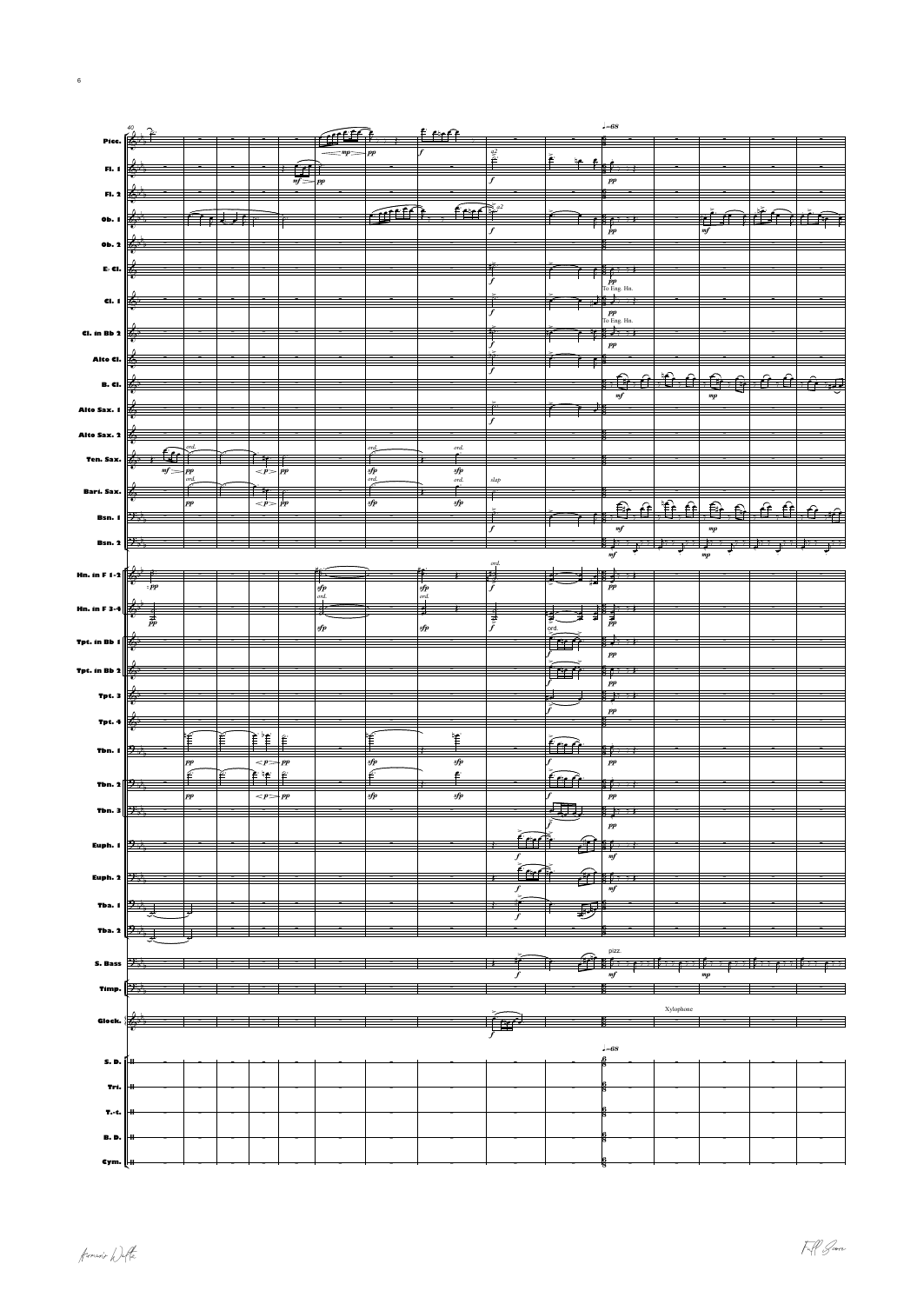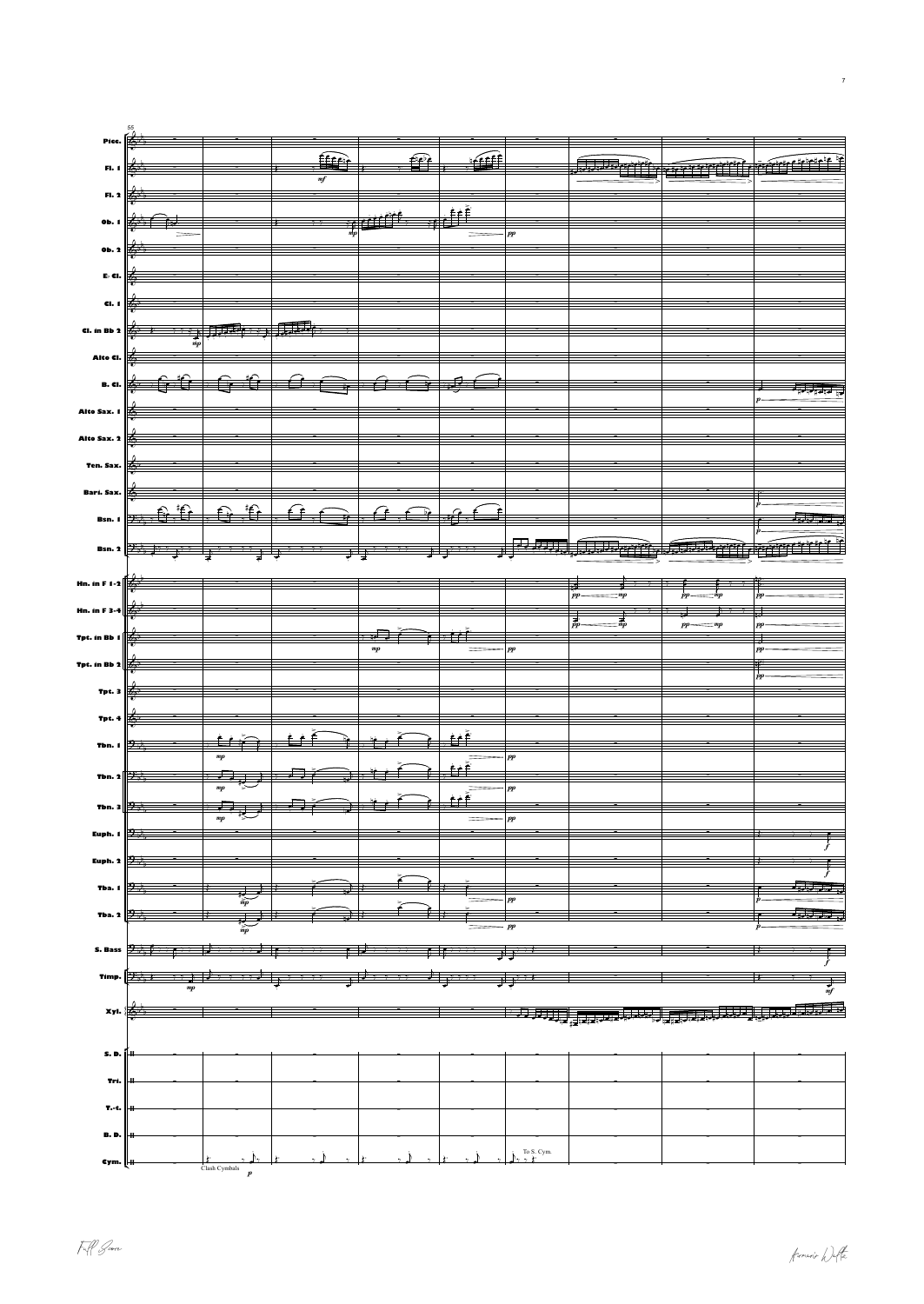| 55<br>ſ6<br>Picc.                 |                                                                                                                                                                                                                                                                                                                                                     |                                           |                                         |                          |                                    |                                                                        |                                                                                                                                           |                               |
|-----------------------------------|-----------------------------------------------------------------------------------------------------------------------------------------------------------------------------------------------------------------------------------------------------------------------------------------------------------------------------------------------------|-------------------------------------------|-----------------------------------------|--------------------------|------------------------------------|------------------------------------------------------------------------|-------------------------------------------------------------------------------------------------------------------------------------------|-------------------------------|
|                                   |                                                                                                                                                                                                                                                                                                                                                     | Éfri                                      | 笔                                       | ≝Ë                       |                                    |                                                                        |                                                                                                                                           | Ψ                             |
| a.                                |                                                                                                                                                                                                                                                                                                                                                     |                                           |                                         |                          |                                    |                                                                        | ses else este contrôle de la seconda de la la de la contrôle de la la la la la la                                                         |                               |
|                                   |                                                                                                                                                                                                                                                                                                                                                     | $\it mf$                                  |                                         |                          |                                    |                                                                        |                                                                                                                                           |                               |
| FI. 2<br>ta.                      |                                                                                                                                                                                                                                                                                                                                                     |                                           |                                         | $\frac{1}{\sqrt{2}}$     |                                    |                                                                        |                                                                                                                                           |                               |
|                                   |                                                                                                                                                                                                                                                                                                                                                     | 701                                       | <u>zerrit</u> .                         |                          |                                    |                                                                        |                                                                                                                                           |                               |
|                                   |                                                                                                                                                                                                                                                                                                                                                     | $m\mathfrak{p}$                           |                                         |                          | pp                                 |                                                                        |                                                                                                                                           |                               |
| <b>Ob. 2</b><br>r.                |                                                                                                                                                                                                                                                                                                                                                     |                                           |                                         |                          |                                    |                                                                        |                                                                                                                                           |                               |
| E CI.                             |                                                                                                                                                                                                                                                                                                                                                     |                                           |                                         |                          |                                    |                                                                        |                                                                                                                                           |                               |
|                                   |                                                                                                                                                                                                                                                                                                                                                     |                                           |                                         |                          |                                    |                                                                        |                                                                                                                                           |                               |
| CI. 1<br>t.                       |                                                                                                                                                                                                                                                                                                                                                     |                                           |                                         |                          |                                    |                                                                        |                                                                                                                                           |                               |
| Cl. in Bb 2<br>6                  | $\overline{1}$ , $\overline{1}$ , $\overline{1}$ , $\overline{1}$ , $\overline{1}$ , $\overline{1}$ , $\overline{1}$ , $\overline{1}$ , $\overline{1}$ , $\overline{1}$ , $\overline{1}$ , $\overline{1}$ , $\overline{1}$ , $\overline{1}$ , $\overline{1}$ , $\overline{1}$ , $\overline{1}$ , $\overline{1}$ , $\overline{1}$ , $\overline{1}$ , |                                           |                                         |                          |                                    |                                                                        |                                                                                                                                           |                               |
|                                   | mр                                                                                                                                                                                                                                                                                                                                                  |                                           |                                         |                          |                                    |                                                                        |                                                                                                                                           |                               |
| Alto Cl.<br>C.                    |                                                                                                                                                                                                                                                                                                                                                     |                                           |                                         |                          |                                    |                                                                        |                                                                                                                                           |                               |
| <b>B. CI.</b>                     | ₩                                                                                                                                                                                                                                                                                                                                                   |                                           | ⋤ <del>∕</del><br>. . <b>.</b><br>b.    | $\frac{1}{2}$            |                                    |                                                                        |                                                                                                                                           |                               |
| 6                                 |                                                                                                                                                                                                                                                                                                                                                     |                                           |                                         |                          |                                    |                                                                        |                                                                                                                                           | राजनगर न                      |
| Alto Sax. I<br>œ                  |                                                                                                                                                                                                                                                                                                                                                     |                                           |                                         |                          |                                    |                                                                        |                                                                                                                                           |                               |
| Alto Sax. 2                       |                                                                                                                                                                                                                                                                                                                                                     |                                           |                                         |                          |                                    |                                                                        |                                                                                                                                           |                               |
| t.                                |                                                                                                                                                                                                                                                                                                                                                     |                                           |                                         |                          |                                    |                                                                        |                                                                                                                                           |                               |
| Ten. Sax.<br>6                    |                                                                                                                                                                                                                                                                                                                                                     |                                           |                                         |                          |                                    |                                                                        |                                                                                                                                           |                               |
|                                   |                                                                                                                                                                                                                                                                                                                                                     |                                           |                                         |                          |                                    |                                                                        |                                                                                                                                           |                               |
| Bari. Sax.<br>6                   |                                                                                                                                                                                                                                                                                                                                                     |                                           |                                         |                          |                                    |                                                                        |                                                                                                                                           |                               |
| $\Rightarrow$<br>$\hat{P}$<br>9 → | $\mathbf{F}$<br>ଋ                                                                                                                                                                                                                                                                                                                                   | ≐<br>$\overline{\phantom{a}}$             | $\overline{\mathcal{G}}$ , $\mathbb{G}$ | ممكو                     |                                    |                                                                        |                                                                                                                                           | المواصلة                      |
|                                   |                                                                                                                                                                                                                                                                                                                                                     |                                           |                                         |                          |                                    |                                                                        |                                                                                                                                           |                               |
| Bsn. 2<br>ジャ                      |                                                                                                                                                                                                                                                                                                                                                     |                                           |                                         |                          | $\Box$ , $\Box$ , $\Box$           |                                                                        | $\frac{1}{2}$ , and the set of $\frac{1}{2}$ , and the set of $\frac{1}{2}$ , and the set of $\frac{1}{2}$ , and the set of $\frac{1}{2}$ |                               |
|                                   |                                                                                                                                                                                                                                                                                                                                                     |                                           |                                         |                          |                                    |                                                                        |                                                                                                                                           |                               |
| 6<br>Hn. in F $1-2$               |                                                                                                                                                                                                                                                                                                                                                     |                                           |                                         |                          |                                    |                                                                        |                                                                                                                                           |                               |
|                                   |                                                                                                                                                                                                                                                                                                                                                     |                                           |                                         |                          |                                    | $pp -$<br>$\mathbb{F}_p$                                               | $pp-$<br>mp                                                                                                                               | pp-                           |
| <b>Hn.</b> in F 3-4<br>76,        |                                                                                                                                                                                                                                                                                                                                                     |                                           |                                         |                          |                                    | $\overline{\vec{p}}$<br>$\frac{1}{mp}$                                 | $pp = \equiv mp$                                                                                                                          | $pp-$                         |
| 6<br>Tpt. in Bb 1                 |                                                                                                                                                                                                                                                                                                                                                     |                                           | $\overline{\phantom{a}}$                | $\overline{\phantom{a}}$ |                                    |                                                                        |                                                                                                                                           |                               |
|                                   |                                                                                                                                                                                                                                                                                                                                                     |                                           | $\it mp$                                |                          | $_{pp}$                            |                                                                        |                                                                                                                                           | $pp-$                         |
| Tpt. in Bb 2<br>€                 |                                                                                                                                                                                                                                                                                                                                                     |                                           |                                         |                          |                                    |                                                                        |                                                                                                                                           | 雫<br>$\vert_{pp}$             |
| Tpt. 3<br>$\bigoplus$             |                                                                                                                                                                                                                                                                                                                                                     |                                           |                                         |                          |                                    |                                                                        |                                                                                                                                           |                               |
|                                   |                                                                                                                                                                                                                                                                                                                                                     |                                           |                                         |                          |                                    |                                                                        |                                                                                                                                           |                               |
| Tpt. 4<br>t.                      |                                                                                                                                                                                                                                                                                                                                                     |                                           |                                         |                          |                                    |                                                                        |                                                                                                                                           |                               |
| Tbn. I                            |                                                                                                                                                                                                                                                                                                                                                     |                                           |                                         | عَضِ                     |                                    |                                                                        |                                                                                                                                           |                               |
|                                   | $_{\mathfrak{m}p}$                                                                                                                                                                                                                                                                                                                                  |                                           |                                         |                          | $_{pp}$                            |                                                                        |                                                                                                                                           |                               |
| Tbn. 2                            |                                                                                                                                                                                                                                                                                                                                                     |                                           |                                         | <u>e e f</u>             |                                    |                                                                        |                                                                                                                                           |                               |
|                                   | $_{mp}$                                                                                                                                                                                                                                                                                                                                             |                                           |                                         |                          | $_{pp}$                            |                                                                        |                                                                                                                                           |                               |
| Tbn. 3<br>ソー                      |                                                                                                                                                                                                                                                                                                                                                     |                                           |                                         | ₿Ê                       |                                    |                                                                        |                                                                                                                                           |                               |
|                                   | $_{\it mp}$                                                                                                                                                                                                                                                                                                                                         |                                           |                                         |                          | pp                                 |                                                                        |                                                                                                                                           |                               |
| ソー                                |                                                                                                                                                                                                                                                                                                                                                     |                                           |                                         |                          |                                    |                                                                        |                                                                                                                                           |                               |
| Euph. 2                           |                                                                                                                                                                                                                                                                                                                                                     |                                           |                                         |                          |                                    |                                                                        |                                                                                                                                           |                               |
|                                   |                                                                                                                                                                                                                                                                                                                                                     |                                           |                                         |                          |                                    |                                                                        |                                                                                                                                           |                               |
|                                   |                                                                                                                                                                                                                                                                                                                                                     |                                           |                                         |                          | $_{pp}$                            |                                                                        |                                                                                                                                           | بال <del>مرا ما لما ل</del> ه |
| Tba. 2<br>ウマ                      | mр                                                                                                                                                                                                                                                                                                                                                  |                                           |                                         |                          |                                    |                                                                        |                                                                                                                                           | <b>The Lating</b>             |
|                                   |                                                                                                                                                                                                                                                                                                                                                     |                                           |                                         |                          | $p\hspace{-.08em}/\hspace{-.1em}p$ |                                                                        |                                                                                                                                           |                               |
| S. Bass<br>$2 - 5$                |                                                                                                                                                                                                                                                                                                                                                     |                                           |                                         |                          |                                    |                                                                        |                                                                                                                                           |                               |
|                                   |                                                                                                                                                                                                                                                                                                                                                     |                                           |                                         |                          |                                    |                                                                        |                                                                                                                                           |                               |
| ソシナ<br>Timp.<br>$\mathfrak{m}p$   | 7.77.                                                                                                                                                                                                                                                                                                                                               | $\rightarrow$ $\rightarrow$ $\rightarrow$ | $\rightarrow$                           | 7777                     |                                    |                                                                        |                                                                                                                                           |                               |
|                                   |                                                                                                                                                                                                                                                                                                                                                     |                                           |                                         |                          |                                    |                                                                        |                                                                                                                                           |                               |
| xyL<br>(6)                        |                                                                                                                                                                                                                                                                                                                                                     |                                           |                                         |                          |                                    | فالمواجزة والمتعارف والمستعمر والمتعارب والمستعمر والمتعاربان والمحامل |                                                                                                                                           |                               |
|                                   |                                                                                                                                                                                                                                                                                                                                                     |                                           |                                         |                          |                                    |                                                                        |                                                                                                                                           |                               |
| S. D.  <br>-#                     |                                                                                                                                                                                                                                                                                                                                                     |                                           |                                         |                          |                                    |                                                                        |                                                                                                                                           |                               |
|                                   |                                                                                                                                                                                                                                                                                                                                                     |                                           |                                         |                          |                                    |                                                                        |                                                                                                                                           |                               |
| Tri.<br>++                        |                                                                                                                                                                                                                                                                                                                                                     |                                           |                                         |                          |                                    |                                                                        |                                                                                                                                           |                               |
|                                   |                                                                                                                                                                                                                                                                                                                                                     |                                           |                                         |                          |                                    |                                                                        |                                                                                                                                           |                               |
| $T - t$ .<br>*                    |                                                                                                                                                                                                                                                                                                                                                     |                                           |                                         |                          |                                    |                                                                        |                                                                                                                                           |                               |
| <b>B. D.</b>                      |                                                                                                                                                                                                                                                                                                                                                     |                                           |                                         |                          |                                    |                                                                        |                                                                                                                                           |                               |
|                                   |                                                                                                                                                                                                                                                                                                                                                     |                                           |                                         |                          | To S. Cym.                         |                                                                        |                                                                                                                                           |                               |
| Cym. Į⊕                           | Clash Cymbals                                                                                                                                                                                                                                                                                                                                       |                                           |                                         |                          |                                    |                                                                        |                                                                                                                                           |                               |
|                                   |                                                                                                                                                                                                                                                                                                                                                     |                                           |                                         |                          |                                    |                                                                        |                                                                                                                                           |                               |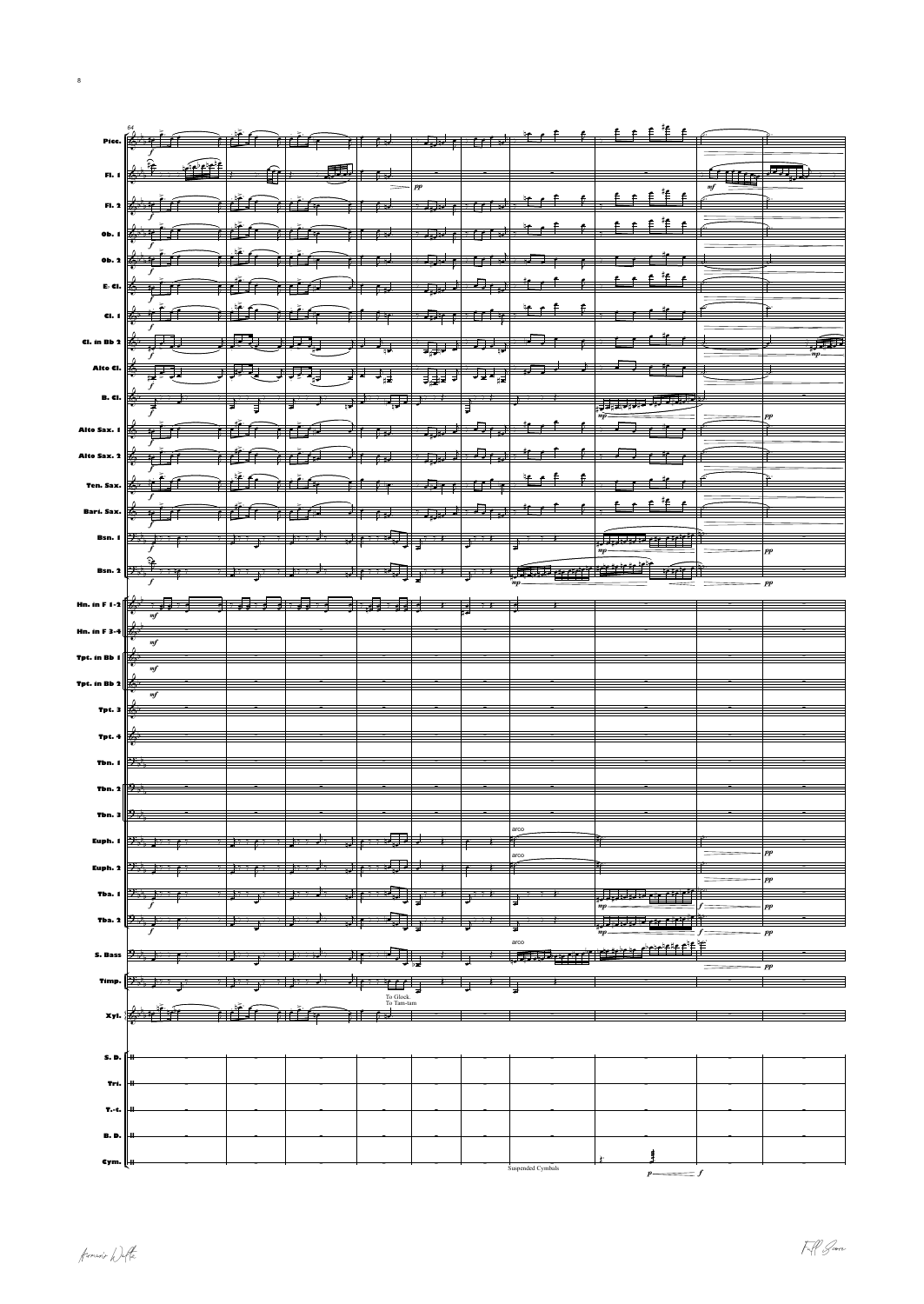| Picc.                                       | $65 +$                                                                                                                           |                    | $\pm$ are<br>6111                            |                                                                       |    | _हु तुर                                                                                      |                                                                                                                                                                                                                                                                                                                                                                                      | $\rightarrow$ , $\rightarrow$ , $\rightarrow$ , $\rightarrow$ , $\rightarrow$ , $\rightarrow$ , $\rightarrow$ , $\rightarrow$ , $\rightarrow$ , $\rightarrow$ , $\rightarrow$ , $\rightarrow$ , $\rightarrow$ , $\rightarrow$ , $\rightarrow$ , $\rightarrow$ , $\rightarrow$ , $\rightarrow$ , $\rightarrow$ , $\rightarrow$ , $\rightarrow$ , $\rightarrow$ , $\rightarrow$ , $\rightarrow$ , $\rightarrow$ , $\rightarrow$ , $\rightarrow$ , $\rightarrow$ , $\rightarrow$ , $\rightarrow$ , $\rightarrow$ , $\rightarrow$ |                   |                                                                                                                                                                                                                                            | ≇<br>Ê                                                                                                                                        |                      |                   |    |  |
|---------------------------------------------|----------------------------------------------------------------------------------------------------------------------------------|--------------------|----------------------------------------------|-----------------------------------------------------------------------|----|----------------------------------------------------------------------------------------------|--------------------------------------------------------------------------------------------------------------------------------------------------------------------------------------------------------------------------------------------------------------------------------------------------------------------------------------------------------------------------------------|-------------------------------------------------------------------------------------------------------------------------------------------------------------------------------------------------------------------------------------------------------------------------------------------------------------------------------------------------------------------------------------------------------------------------------------------------------------------------------------------------------------------------------|-------------------|--------------------------------------------------------------------------------------------------------------------------------------------------------------------------------------------------------------------------------------------|-----------------------------------------------------------------------------------------------------------------------------------------------|----------------------|-------------------|----|--|
|                                             |                                                                                                                                  | <u>اسم ام طبيع</u> |                                              |                                                                       |    |                                                                                              |                                                                                                                                                                                                                                                                                                                                                                                      |                                                                                                                                                                                                                                                                                                                                                                                                                                                                                                                               |                   |                                                                                                                                                                                                                                            |                                                                                                                                               |                      |                   |    |  |
| FI. 1                                       |                                                                                                                                  |                    |                                              | $\sim$                                                                | 二年 | -6 tot<br>$\Rightarrow$                                                                      | pp                                                                                                                                                                                                                                                                                                                                                                                   |                                                                                                                                                                                                                                                                                                                                                                                                                                                                                                                               |                   |                                                                                                                                                                                                                                            |                                                                                                                                               | <u>refere</u><br>m f |                   |    |  |
| <b>FI. 2</b>                                |                                                                                                                                  |                    |                                              |                                                                       |    |                                                                                              |                                                                                                                                                                                                                                                                                                                                                                                      |                                                                                                                                                                                                                                                                                                                                                                                                                                                                                                                               |                   | ₽.                                                                                                                                                                                                                                         | 隼<br>$\epsilon$                                                                                                                               |                      |                   |    |  |
| <b>Ob.</b> 1                                |                                                                                                                                  |                    |                                              |                                                                       |    |                                                                                              |                                                                                                                                                                                                                                                                                                                                                                                      |                                                                                                                                                                                                                                                                                                                                                                                                                                                                                                                               |                   |                                                                                                                                                                                                                                            | 恈                                                                                                                                             |                      |                   |    |  |
| <b>Ob. 2</b>                                |                                                                                                                                  |                    |                                              |                                                                       |    |                                                                                              |                                                                                                                                                                                                                                                                                                                                                                                      |                                                                                                                                                                                                                                                                                                                                                                                                                                                                                                                               |                   |                                                                                                                                                                                                                                            |                                                                                                                                               |                      |                   |    |  |
|                                             |                                                                                                                                  |                    |                                              |                                                                       |    |                                                                                              |                                                                                                                                                                                                                                                                                                                                                                                      |                                                                                                                                                                                                                                                                                                                                                                                                                                                                                                                               |                   |                                                                                                                                                                                                                                            |                                                                                                                                               |                      |                   |    |  |
| E CI.                                       |                                                                                                                                  |                    |                                              |                                                                       |    | <u>िक</u>                                                                                    | لىن ب                                                                                                                                                                                                                                                                                                                                                                                |                                                                                                                                                                                                                                                                                                                                                                                                                                                                                                                               |                   |                                                                                                                                                                                                                                            |                                                                                                                                               |                      |                   |    |  |
| <b>CI.</b> 1                                |                                                                                                                                  |                    |                                              |                                                                       |    | D he−                                                                                        | $\overline{1}$ $\overline{4}$ $\overline{4}$ $\overline{6}$ $\overline{6}$ $\overline{6}$ $\overline{6}$ $\overline{6}$ $\overline{6}$ $\overline{6}$ $\overline{6}$ $\overline{6}$ $\overline{6}$ $\overline{6}$ $\overline{6}$ $\overline{6}$ $\overline{6}$ $\overline{6}$ $\overline{6}$ $\overline{6}$ $\overline{6}$ $\overline{6}$ $\overline{6}$ $\overline{6}$ $\overline{$ | - 1                                                                                                                                                                                                                                                                                                                                                                                                                                                                                                                           |                   |                                                                                                                                                                                                                                            |                                                                                                                                               |                      |                   |    |  |
| Cl. in Bb 2                                 | to,                                                                                                                              |                    |                                              |                                                                       |    |                                                                                              | 尋                                                                                                                                                                                                                                                                                                                                                                                    |                                                                                                                                                                                                                                                                                                                                                                                                                                                                                                                               |                   |                                                                                                                                                                                                                                            |                                                                                                                                               |                      |                   | mp |  |
| Alto Cl.                                    | 侮                                                                                                                                |                    |                                              |                                                                       |    |                                                                                              | 螶                                                                                                                                                                                                                                                                                                                                                                                    | म्र                                                                                                                                                                                                                                                                                                                                                                                                                                                                                                                           |                   |                                                                                                                                                                                                                                            |                                                                                                                                               |                      |                   |    |  |
| <b>B. CI.</b>                               | $\bigcirc$                                                                                                                       |                    |                                              |                                                                       |    |                                                                                              | $\gamma$ $\gamma$ $\rightarrow$                                                                                                                                                                                                                                                                                                                                                      | $\rightarrow$ $\rightarrow$ $\rightarrow$ $\rightarrow$                                                                                                                                                                                                                                                                                                                                                                                                                                                                       |                   |                                                                                                                                                                                                                                            | $\overline{1}$ , and the $\overline{1}$                                                                                                       |                      |                   |    |  |
|                                             |                                                                                                                                  |                    |                                              |                                                                       |    |                                                                                              |                                                                                                                                                                                                                                                                                                                                                                                      |                                                                                                                                                                                                                                                                                                                                                                                                                                                                                                                               |                   | $\frac{1}{2}$ , $\frac{1}{2}$ , $\frac{1}{2}$ , $\frac{1}{2}$ , $\frac{1}{2}$ , $\frac{1}{2}$ , $\frac{1}{2}$                                                                                                                              |                                                                                                                                               |                      |                   |    |  |
| Alto Sax. 1                                 |                                                                                                                                  |                    |                                              |                                                                       |    | कम                                                                                           |                                                                                                                                                                                                                                                                                                                                                                                      | $\overline{\phantom{a}}$                                                                                                                                                                                                                                                                                                                                                                                                                                                                                                      |                   |                                                                                                                                                                                                                                            |                                                                                                                                               |                      |                   |    |  |
| Alto Sax. 2                                 | 65                                                                                                                               |                    |                                              |                                                                       |    | ťт.                                                                                          | 最                                                                                                                                                                                                                                                                                                                                                                                    | <del>- -</del>                                                                                                                                                                                                                                                                                                                                                                                                                                                                                                                |                   |                                                                                                                                                                                                                                            |                                                                                                                                               |                      |                   |    |  |
| Ten. Sax.                                   | 6.                                                                                                                               |                    |                                              |                                                                       |    | $\mathfrak{g}_{\mathfrak{p}}$ is a set of $\mathfrak{p}$                                     |                                                                                                                                                                                                                                                                                                                                                                                      | $\rightarrow$ De $_5$ $\prime$ Cf is                                                                                                                                                                                                                                                                                                                                                                                                                                                                                          |                   |                                                                                                                                                                                                                                            |                                                                                                                                               |                      |                   |    |  |
| Bari. Sax.                                  | ⊕                                                                                                                                |                    |                                              |                                                                       |    |                                                                                              | 示声                                                                                                                                                                                                                                                                                                                                                                                   |                                                                                                                                                                                                                                                                                                                                                                                                                                                                                                                               |                   |                                                                                                                                                                                                                                            |                                                                                                                                               |                      |                   |    |  |
| <b>Bsn.</b> 1 $\frac{1}{2}$                 | $\lambda$ $\rightarrow$ $\rightarrow$ $\rightarrow$ $\rightarrow$                                                                |                    |                                              | $\overline{\Lambda}$ $\rightarrow$ $\overline{\phantom{a}}$           |    | ) $\epsilon$ , , , , , , ,                                                                   | $\sqrt{7}$                                                                                                                                                                                                                                                                                                                                                                           | $\overline{N^{2/2}}$                                                                                                                                                                                                                                                                                                                                                                                                                                                                                                          |                   |                                                                                                                                                                                                                                            |                                                                                                                                               |                      |                   |    |  |
|                                             |                                                                                                                                  |                    |                                              |                                                                       |    |                                                                                              |                                                                                                                                                                                                                                                                                                                                                                                      |                                                                                                                                                                                                                                                                                                                                                                                                                                                                                                                               |                   | $_{mp}$ .                                                                                                                                                                                                                                  | posobolo de ciete                                                                                                                             |                      | $_{pp}$           |    |  |
| <b>Bsn.</b> 2 $\frac{1}{2}$ , $\frac{1}{2}$ | 77k                                                                                                                              |                    |                                              |                                                                       |    | نوال لي <sup>ست</sup>                                                                        |                                                                                                                                                                                                                                                                                                                                                                                      | $\sqrt{7}$                                                                                                                                                                                                                                                                                                                                                                                                                                                                                                                    |                   | <i><u> Jacques et eterne les testes de la finitation de la finitation de la finitation de la finitation de la finitation de la finitation de la finitation de la finitation de la finitation de la finitation de la finitation de </u></i> |                                                                                                                                               |                      | $_{pp}$           |    |  |
|                                             | Hn. in F 1-2 $\left[\overline{\left(\frac{1}{2}\right)^2}$ $\rightarrow$ $\frac{1}{2}$ $\frac{1}{2}$ $\rightarrow$ $\frac{1}{2}$ |                    |                                              |                                                                       |    | $7 - 1$<br>ا ہے۔                                                                             |                                                                                                                                                                                                                                                                                                                                                                                      | $\rightarrow$ 1                                                                                                                                                                                                                                                                                                                                                                                                                                                                                                               |                   |                                                                                                                                                                                                                                            |                                                                                                                                               |                      |                   |    |  |
| Hn. in F 3-4 $\frac{1}{\sqrt{2}}$           | mf                                                                                                                               |                    |                                              |                                                                       |    |                                                                                              |                                                                                                                                                                                                                                                                                                                                                                                      |                                                                                                                                                                                                                                                                                                                                                                                                                                                                                                                               |                   |                                                                                                                                                                                                                                            |                                                                                                                                               |                      |                   |    |  |
|                                             | m f                                                                                                                              |                    |                                              |                                                                       |    |                                                                                              |                                                                                                                                                                                                                                                                                                                                                                                      |                                                                                                                                                                                                                                                                                                                                                                                                                                                                                                                               |                   |                                                                                                                                                                                                                                            |                                                                                                                                               |                      |                   |    |  |
| Tpt. in Bb 1                                | -46<br>$\it mf$                                                                                                                  |                    |                                              |                                                                       |    |                                                                                              |                                                                                                                                                                                                                                                                                                                                                                                      |                                                                                                                                                                                                                                                                                                                                                                                                                                                                                                                               |                   |                                                                                                                                                                                                                                            |                                                                                                                                               |                      |                   |    |  |
| Tpt. in Bb 2                                | ∲<br>$\it mf$                                                                                                                    |                    |                                              |                                                                       |    |                                                                                              |                                                                                                                                                                                                                                                                                                                                                                                      |                                                                                                                                                                                                                                                                                                                                                                                                                                                                                                                               |                   |                                                                                                                                                                                                                                            |                                                                                                                                               |                      |                   |    |  |
| Tpt. $3 \left  \frac{\sqrt{3}}{3} \right $  |                                                                                                                                  |                    |                                              |                                                                       |    |                                                                                              |                                                                                                                                                                                                                                                                                                                                                                                      |                                                                                                                                                                                                                                                                                                                                                                                                                                                                                                                               |                   |                                                                                                                                                                                                                                            |                                                                                                                                               |                      |                   |    |  |
| Tpt. 4                                      | 6                                                                                                                                |                    |                                              |                                                                       |    |                                                                                              |                                                                                                                                                                                                                                                                                                                                                                                      |                                                                                                                                                                                                                                                                                                                                                                                                                                                                                                                               |                   |                                                                                                                                                                                                                                            |                                                                                                                                               |                      |                   |    |  |
| Tbn. I                                      |                                                                                                                                  |                    |                                              |                                                                       |    |                                                                                              |                                                                                                                                                                                                                                                                                                                                                                                      |                                                                                                                                                                                                                                                                                                                                                                                                                                                                                                                               |                   |                                                                                                                                                                                                                                            |                                                                                                                                               |                      |                   |    |  |
| <b>Tbn. 2</b>                               |                                                                                                                                  |                    |                                              |                                                                       |    |                                                                                              |                                                                                                                                                                                                                                                                                                                                                                                      |                                                                                                                                                                                                                                                                                                                                                                                                                                                                                                                               |                   |                                                                                                                                                                                                                                            |                                                                                                                                               |                      |                   |    |  |
| Tbn. 3 $2\pm$                               |                                                                                                                                  |                    |                                              |                                                                       |    |                                                                                              |                                                                                                                                                                                                                                                                                                                                                                                      |                                                                                                                                                                                                                                                                                                                                                                                                                                                                                                                               |                   |                                                                                                                                                                                                                                            |                                                                                                                                               |                      |                   |    |  |
|                                             |                                                                                                                                  |                    | $\overline{1}$ $\overline{1}$ $\overline{2}$ | $\lambda + \gamma$                                                    |    | لولوا والمؤنزع                                                                               |                                                                                                                                                                                                                                                                                                                                                                                      |                                                                                                                                                                                                                                                                                                                                                                                                                                                                                                                               | arco              |                                                                                                                                                                                                                                            |                                                                                                                                               |                      |                   |    |  |
| Euph. I                                     | 23.37.87                                                                                                                         |                    |                                              |                                                                       |    |                                                                                              |                                                                                                                                                                                                                                                                                                                                                                                      |                                                                                                                                                                                                                                                                                                                                                                                                                                                                                                                               | arco              |                                                                                                                                                                                                                                            |                                                                                                                                               |                      | $_{pp}$           |    |  |
| Euph. 2                                     | $\mathcal{F}_{\mathcal{V}}$ , $\mathcal{V}$ , $\mathcal{V}$                                                                      |                    | $\frac{1}{2}$ $\sqrt{27}$                    | $\rightarrow$ $\rightarrow$ $\rightarrow$ $\rightarrow$ $\rightarrow$ |    | $6.7.7$ keep a at                                                                            | Ť                                                                                                                                                                                                                                                                                                                                                                                    |                                                                                                                                                                                                                                                                                                                                                                                                                                                                                                                               |                   |                                                                                                                                                                                                                                            |                                                                                                                                               |                      | $\boldsymbol{pp}$ |    |  |
| Tba. I                                      | $\mathcal{P}_{\mathbb{P}_2}$ ): $\mathcal{P}_{\mathbb{P}_2}$ ;                                                                   |                    | $\gamma$ $\rightarrow$ $\gamma$              | $\gamma$ $\gamma$ $\gamma$ $\gamma$ $\gamma$ $\gamma$                 |    |                                                                                              | $\frac{1}{2}$                                                                                                                                                                                                                                                                                                                                                                        | $\frac{1}{2}$                                                                                                                                                                                                                                                                                                                                                                                                                                                                                                                 |                   | mp                                                                                                                                                                                                                                         | فالمنافذ فالمرددر                                                                                                                             |                      | $\boldsymbol{pp}$ |    |  |
|                                             | Tba. 2 $\frac{1}{2}$ , $\frac{1}{2}$ , $\frac{1}{2}$                                                                             |                    | $\mathbb{Z}$ ) $\mathbb{Z}$                  | $\gamma$ h $\gamma$                                                   |    |                                                                                              | $\frac{1}{2}$                                                                                                                                                                                                                                                                                                                                                                        | $x^2 +$                                                                                                                                                                                                                                                                                                                                                                                                                                                                                                                       |                   | mp                                                                                                                                                                                                                                         | $\frac{1}{2}$ , and the line of the line $\frac{1}{2}$                                                                                        |                      | $\boldsymbol{pp}$ |    |  |
|                                             | S. Bass $\overrightarrow{\mathcal{Y}}$ $\overrightarrow{y}$ $\overrightarrow{y}$ $\overrightarrow{y}$ $\overrightarrow{y}$       |                    | י יש יין יין יין <u>י</u>                    |                                                                       |    | $\left[\left[\left(1-\frac{1}{2}\right)\left(\frac{1}{2}\right)\right]\right]_{\frac{1}{2}}$ | $\rightarrow$                                                                                                                                                                                                                                                                                                                                                                        |                                                                                                                                                                                                                                                                                                                                                                                                                                                                                                                               |                   |                                                                                                                                                                                                                                            | $\frac{1}{\sqrt{2}}$ and the state of $\frac{1}{2}$ and $\frac{1}{2}$ and $\frac{1}{2}$ and $\frac{1}{2}$ and $\frac{1}{2}$ and $\frac{1}{2}$ |                      |                   |    |  |
|                                             |                                                                                                                                  |                    | $\rightarrow$ 7                              |                                                                       |    |                                                                                              |                                                                                                                                                                                                                                                                                                                                                                                      |                                                                                                                                                                                                                                                                                                                                                                                                                                                                                                                               |                   |                                                                                                                                                                                                                                            |                                                                                                                                               |                      | $_{\it pp}$       |    |  |
| Timp. $\left \frac{1}{2^{n+1}}\right $      |                                                                                                                                  |                    |                                              |                                                                       |    | 2011 <u>01</u>                                                                               | $\!$ To Glock. $\!$ To Tam-tam                                                                                                                                                                                                                                                                                                                                                       |                                                                                                                                                                                                                                                                                                                                                                                                                                                                                                                               |                   |                                                                                                                                                                                                                                            |                                                                                                                                               |                      |                   |    |  |
|                                             | Xyl.                                                                                                                             |                    |                                              |                                                                       | ┯  | 五声                                                                                           |                                                                                                                                                                                                                                                                                                                                                                                      |                                                                                                                                                                                                                                                                                                                                                                                                                                                                                                                               |                   |                                                                                                                                                                                                                                            |                                                                                                                                               |                      |                   |    |  |
|                                             |                                                                                                                                  |                    |                                              |                                                                       |    |                                                                                              |                                                                                                                                                                                                                                                                                                                                                                                      |                                                                                                                                                                                                                                                                                                                                                                                                                                                                                                                               |                   |                                                                                                                                                                                                                                            |                                                                                                                                               |                      |                   |    |  |
| S. D.                                       | ⊩                                                                                                                                |                    |                                              |                                                                       |    |                                                                                              |                                                                                                                                                                                                                                                                                                                                                                                      |                                                                                                                                                                                                                                                                                                                                                                                                                                                                                                                               |                   |                                                                                                                                                                                                                                            |                                                                                                                                               |                      |                   |    |  |
| Tri.                                        |                                                                                                                                  |                    |                                              |                                                                       |    |                                                                                              |                                                                                                                                                                                                                                                                                                                                                                                      |                                                                                                                                                                                                                                                                                                                                                                                                                                                                                                                               |                   |                                                                                                                                                                                                                                            |                                                                                                                                               |                      |                   |    |  |
| $T - t$ .                                   |                                                                                                                                  |                    |                                              |                                                                       |    |                                                                                              |                                                                                                                                                                                                                                                                                                                                                                                      |                                                                                                                                                                                                                                                                                                                                                                                                                                                                                                                               |                   |                                                                                                                                                                                                                                            |                                                                                                                                               |                      |                   |    |  |
| <b>B. D.</b>                                |                                                                                                                                  |                    |                                              |                                                                       |    |                                                                                              |                                                                                                                                                                                                                                                                                                                                                                                      |                                                                                                                                                                                                                                                                                                                                                                                                                                                                                                                               |                   |                                                                                                                                                                                                                                            |                                                                                                                                               |                      |                   |    |  |
|                                             |                                                                                                                                  |                    |                                              |                                                                       |    |                                                                                              |                                                                                                                                                                                                                                                                                                                                                                                      |                                                                                                                                                                                                                                                                                                                                                                                                                                                                                                                               |                   |                                                                                                                                                                                                                                            |                                                                                                                                               |                      |                   |    |  |
|                                             |                                                                                                                                  |                    |                                              |                                                                       |    |                                                                                              |                                                                                                                                                                                                                                                                                                                                                                                      |                                                                                                                                                                                                                                                                                                                                                                                                                                                                                                                               | Suspended Cymbals |                                                                                                                                                                                                                                            | $\frac{\ }{f}$<br>$p-$                                                                                                                        |                      |                   |    |  |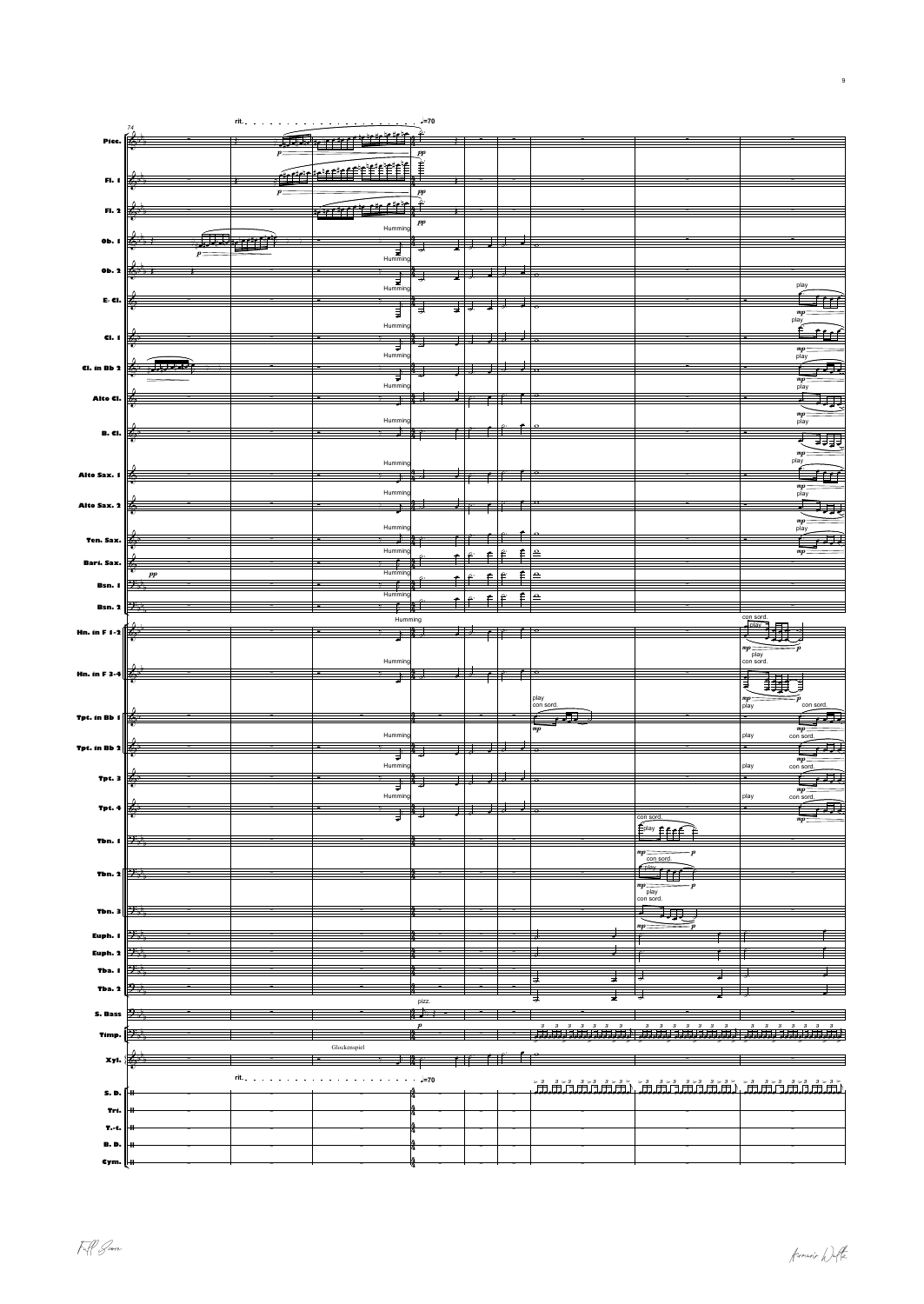|                                      | 74                                       | rit.                                           |                                         | $=70$                              |                          |                                                                 |                   |                           |                                                               |  |
|--------------------------------------|------------------------------------------|------------------------------------------------|-----------------------------------------|------------------------------------|--------------------------|-----------------------------------------------------------------|-------------------|---------------------------|---------------------------------------------------------------|--|
| Picc.                                | $\mathbb{Z}$                             |                                                | <u>e de la provincia de la la la la</u> |                                    |                          |                                                                 |                   |                           |                                                               |  |
|                                      |                                          | $p=$                                           |                                         | $_{pp}$                            |                          |                                                                 |                   |                           |                                                               |  |
|                                      |                                          |                                                | <u>eteere retreferer retre</u>          | È                                  |                          |                                                                 |                   |                           |                                                               |  |
| <b>FI.1</b>                          | $\sigma$ <sup>25</sup>                   | ∹                                              |                                         |                                    |                          |                                                                 |                   |                           |                                                               |  |
|                                      |                                          | $p_{-}$                                        |                                         | $_{pp}$                            |                          |                                                                 |                   |                           |                                                               |  |
| <b>FI. 2</b>                         | $\mathbb{Q}^{\mathfrak{p}}$              |                                                | the secretary care category             | è                                  |                          |                                                                 |                   |                           |                                                               |  |
|                                      |                                          |                                                | Humming                                 | $p\hspace{-0.5mm}/\hspace{0.2mm}p$ |                          |                                                                 |                   |                           |                                                               |  |
| <b>Ob.</b> 1                         | $\left(\gamma\right)$                    | $\overline{y}$                                 |                                         |                                    |                          |                                                                 |                   |                           |                                                               |  |
|                                      | $p=$                                     | $\frac{1}{2}$ , and the state of $\frac{1}{2}$ | ₹                                       |                                    |                          |                                                                 |                   |                           |                                                               |  |
|                                      | $\overline{(\overline{a})}$              |                                                | Humming                                 |                                    |                          |                                                                 |                   |                           |                                                               |  |
| <b>Ob. 2</b>                         |                                          |                                                | — <del>⊒}</del><br>Humming              |                                    |                          |                                                                 |                   |                           |                                                               |  |
|                                      |                                          |                                                |                                         |                                    |                          |                                                                 |                   |                           | play<br>•<br>$\epsilon$                                       |  |
| E, CI.                               | te,                                      |                                                | ₹                                       | ᆗ.                                 | ≢ाऊ                      |                                                                 |                   |                           |                                                               |  |
|                                      |                                          |                                                | Humming                                 |                                    |                          |                                                                 |                   |                           | $\frac{mp}{p\vert\text{day}}$                                 |  |
| CI. 1                                | €5                                       |                                                |                                         |                                    |                          |                                                                 |                   |                           |                                                               |  |
|                                      |                                          |                                                | ₹                                       |                                    |                          |                                                                 |                   |                           | $mp_1$<br>play                                                |  |
| Cl. in Bb 2                          | فتلمهم المراملين<br>কে                   |                                                | Humming                                 |                                    |                          | ▰                                                               |                   |                           |                                                               |  |
|                                      |                                          |                                                | 孛                                       |                                    |                          |                                                                 |                   |                           | mp                                                            |  |
|                                      |                                          |                                                | Humming                                 |                                    | ∙                        |                                                                 |                   |                           | play                                                          |  |
| Alto Cl.                             | 6                                        |                                                |                                         |                                    |                          |                                                                 |                   |                           | ▾                                                             |  |
|                                      |                                          |                                                | Humming                                 |                                    |                          |                                                                 |                   |                           | $mp =$ play                                                   |  |
| <b>B. CI.</b>                        | 奄                                        |                                                |                                         |                                    |                          |                                                                 |                   |                           |                                                               |  |
|                                      |                                          |                                                |                                         |                                    |                          |                                                                 |                   |                           | ⋥⋥⋥⋥<br>$mp^-$                                                |  |
|                                      |                                          |                                                | Humming                                 |                                    |                          |                                                                 |                   |                           | play                                                          |  |
| Alto Sax. I                          | to,                                      |                                                |                                         |                                    |                          |                                                                 |                   |                           | ſſ                                                            |  |
|                                      |                                          |                                                | Humming                                 |                                    |                          |                                                                 |                   |                           | mp<br>play                                                    |  |
| Alto Sax. 2                          | t.                                       |                                                |                                         |                                    |                          |                                                                 |                   |                           | !म्,                                                          |  |
|                                      |                                          |                                                |                                         |                                    |                          |                                                                 |                   |                           | $\frac{mp}{p}$                                                |  |
|                                      |                                          |                                                | Humming                                 |                                    |                          |                                                                 |                   |                           |                                                               |  |
| Ten. Sax.                            | $\mathbb{C}^{\mathbb{R}}$                |                                                | Humming                                 |                                    | ₽<br>₽.                  | ₤<br>⊫                                                          | ≜                 |                           | $mp_$                                                         |  |
| Bari. Sax.                           | l⊕                                       |                                                | ≢                                       |                                    |                          |                                                                 |                   |                           |                                                               |  |
|                                      | $\cal PP$                                |                                                | Humming                                 |                                    | р.                       | $\frac{1}{\sqrt{2}}$<br>$f \dot{f}$                             |                   |                           |                                                               |  |
| Bsn. I                               | $\mathcal{P}_{\mathcal{F}_{\mathbf{r}}}$ |                                                | Humming                                 |                                    |                          |                                                                 | $F =$             |                           |                                                               |  |
| <b>Bsn.</b> 2 $\boxed{2\frac{1}{2}}$ |                                          |                                                |                                         |                                    | $\rho$ .                 | f                                                               |                   |                           |                                                               |  |
|                                      |                                          |                                                | Humming                                 |                                    |                          |                                                                 |                   |                           | con sord.<br>play                                             |  |
| Hn. in F $1-2$                       | 16                                       |                                                | $\rightarrow$ $^2$                      |                                    | $\overline{\phantom{a}}$ | $\bullet$ $\mid$ $e$ $\mid$ $\mid$ $\mid$ $\mid$ $\circ$ $\mid$ |                   |                           | ł.<br>$\overline{\phantom{a}}$                                |  |
|                                      |                                          |                                                |                                         |                                    |                          |                                                                 |                   |                           | $_{mp}$<br>play                                               |  |
|                                      |                                          |                                                | Humming                                 |                                    |                          |                                                                 |                   |                           | con sord.                                                     |  |
| Hn. in F 3-4 $\frac{2}{\sqrt{2}}$    |                                          |                                                |                                         |                                    | ⊣                        | $\bullet$ $\circ$ $\bullet$ $\circ$                             |                   |                           |                                                               |  |
|                                      |                                          |                                                |                                         |                                    |                          |                                                                 |                   |                           |                                                               |  |
|                                      |                                          |                                                |                                         |                                    |                          |                                                                 |                   |                           | 覲<br>₹                                                        |  |
|                                      |                                          |                                                |                                         |                                    |                          |                                                                 | play<br>con sord. |                           | $\begin{array}{c} mp \\ \text{play} \end{array}$<br>con sord. |  |
| Tpt. in Bb 1                         | 75                                       |                                                |                                         |                                    |                          |                                                                 | ÷                 |                           | ≁<br>75                                                       |  |
|                                      |                                          |                                                | Humming                                 |                                    |                          |                                                                 | mp                |                           | $mp =$<br>play<br>con sord.                                   |  |
| Tpt. in Bb 2                         | ∞                                        |                                                |                                         |                                    |                          | ╼                                                               |                   |                           | ╱<br>ं नगर                                                    |  |
|                                      |                                          |                                                | ₹<br>Humming                            |                                    |                          |                                                                 |                   |                           | =<br>$mp_$<br>play<br>con sord.                               |  |
| Tpt. 3                               | t.                                       |                                                | ⊀                                       |                                    |                          |                                                                 |                   |                           | لەلمەس                                                        |  |
|                                      |                                          |                                                | ₹<br>Humming                            |                                    |                          |                                                                 |                   |                           | $mp =$<br>play<br>con sord.                                   |  |
| Tpt. 4                               |                                          |                                                | $\overline{\phantom{0}}$                |                                    |                          |                                                                 |                   |                           | $\overline{\phantom{a}}$<br>لەل مە                            |  |
|                                      |                                          |                                                | ₹                                       |                                    |                          |                                                                 |                   | con sord.                 | $mp$ :                                                        |  |
| Tbn. I                               | ナマ                                       |                                                |                                         |                                    |                          |                                                                 |                   | $E_{\text{play}}$         |                                                               |  |
|                                      |                                          |                                                |                                         |                                    |                          |                                                                 |                   | $mp =$<br>. p             |                                                               |  |
|                                      |                                          |                                                |                                         |                                    |                          |                                                                 |                   | con sord.<br>$\n  play\n$ |                                                               |  |
| <b>Tbn. 2</b>                        | ジナ                                       |                                                |                                         |                                    |                          |                                                                 |                   |                           |                                                               |  |
|                                      |                                          |                                                |                                         |                                    |                          |                                                                 |                   | $mp =$<br>- p<br>play     |                                                               |  |
| Tbn. 3 $2\pm$                        |                                          |                                                |                                         |                                    |                          |                                                                 |                   | con sord.<br>÷            |                                                               |  |
|                                      |                                          |                                                |                                         |                                    |                          |                                                                 |                   | ▾.<br>mp                  |                                                               |  |
| Euph. 1                              |                                          |                                                |                                         |                                    |                          |                                                                 |                   |                           |                                                               |  |
| Euph. 2                              |                                          |                                                |                                         |                                    |                          |                                                                 |                   |                           |                                                               |  |
|                                      | ナ                                        |                                                |                                         |                                    |                          |                                                                 |                   |                           |                                                               |  |
| Tba. I                               |                                          |                                                |                                         |                                    |                          |                                                                 | J.<br>₹           | ₹.                        |                                                               |  |
| Tba. 2                               | 艺                                        |                                                |                                         |                                    |                          |                                                                 |                   | ಕ                         |                                                               |  |
|                                      |                                          |                                                |                                         | pizz.                              |                          |                                                                 | 킁.                |                           |                                                               |  |
| S. Bass                              | 一                                        |                                                |                                         | $2 \rightarrow i$                  |                          |                                                                 |                   |                           |                                                               |  |
| Timp.                                | ソア                                       |                                                |                                         |                                    |                          |                                                                 |                   |                           | <u>ششاشتان بششاه بالمشاركة بالشارات بالشارية بال</u>          |  |
|                                      |                                          |                                                | Glockenspiel                            |                                    |                          |                                                                 |                   |                           |                                                               |  |
| Xyl.                                 | †ক "                                     |                                                |                                         |                                    |                          |                                                                 |                   |                           |                                                               |  |
|                                      |                                          | rit.                                           |                                         | - 70<br>$\sim$                     |                          |                                                                 |                   |                           |                                                               |  |
| S. D.                                | - 1                                      |                                                |                                         |                                    |                          |                                                                 |                   |                           | <u>ัมม้ว่มม้ว่มมั่น มีม้ว่มมั่มมั่น มีม้ว่มมั่มมั่น</u>       |  |
| Tri.                                 |                                          |                                                |                                         |                                    |                          |                                                                 |                   |                           |                                                               |  |
|                                      |                                          |                                                |                                         |                                    |                          |                                                                 |                   |                           |                                                               |  |
| $T - t$ .                            |                                          |                                                |                                         |                                    |                          |                                                                 |                   |                           |                                                               |  |
| <b>B. D.</b><br>Cym. [H⊢             |                                          |                                                |                                         |                                    |                          |                                                                 |                   |                           |                                                               |  |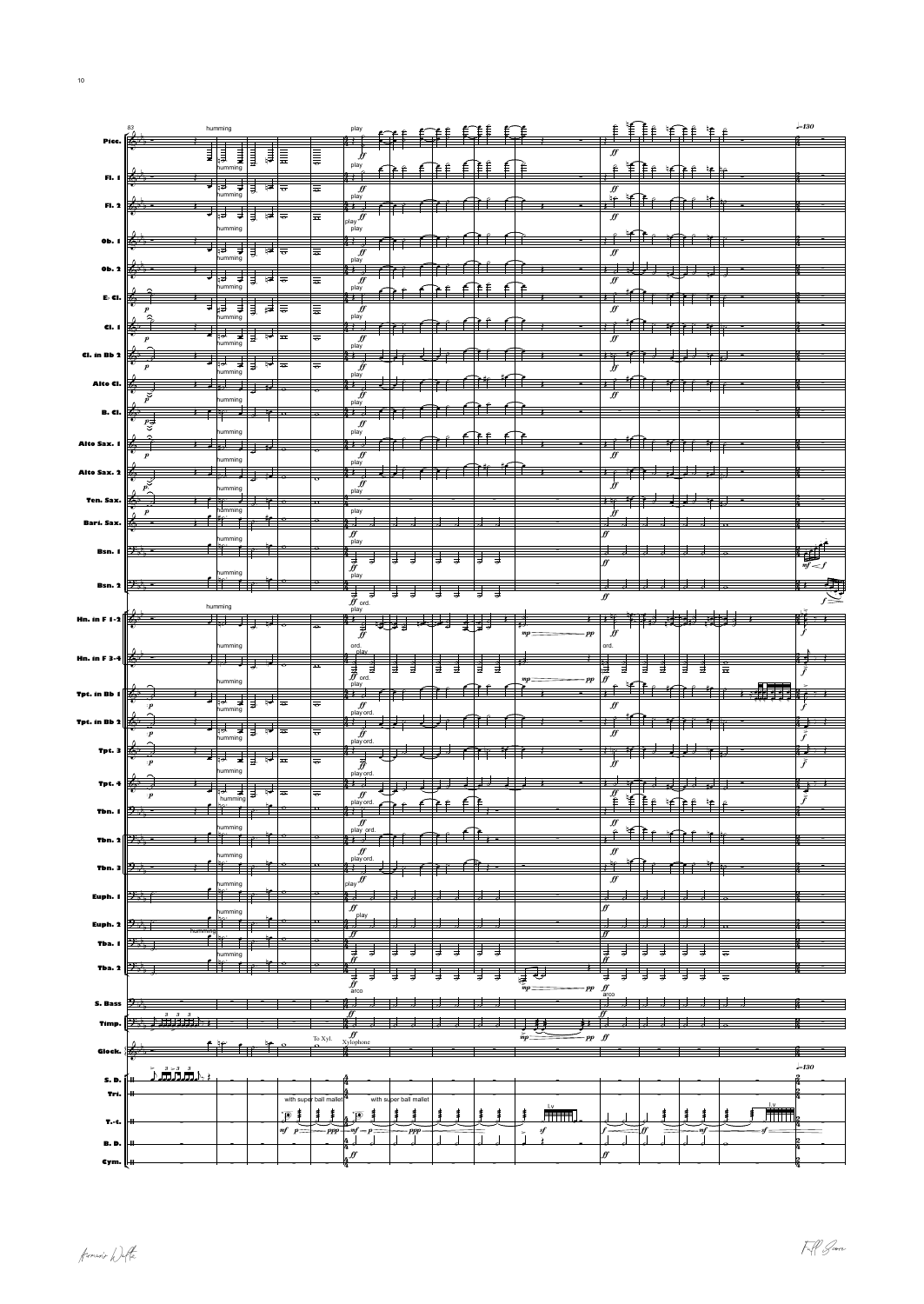| Fl. 1         |                                                                          |         |                                                                                                                                                                                                                                                                                                                     |                                                                                                                                                 |      |                                                                                                   | Ĵf                                                  |                                  |          |           |                       |                           | $f\hspace{-0.1cm}f$                                                 |         |                                                                        |                                |                                                            |
|---------------|--------------------------------------------------------------------------|---------|---------------------------------------------------------------------------------------------------------------------------------------------------------------------------------------------------------------------------------------------------------------------------------------------------------------------|-------------------------------------------------------------------------------------------------------------------------------------------------|------|---------------------------------------------------------------------------------------------------|-----------------------------------------------------|----------------------------------|----------|-----------|-----------------------|---------------------------|---------------------------------------------------------------------|---------|------------------------------------------------------------------------|--------------------------------|------------------------------------------------------------|
|               | ራን                                                                       | 鶉       | Ţ<br>humming                                                                                                                                                                                                                                                                                                        | 谭<br>E                                                                                                                                          | E    | $\equiv$                                                                                          | play<br>P                                           |                                  | €<br>fî€ | lÈ₿       | €.<br>₿               |                           |                                                                     |         |                                                                        |                                |                                                            |
|               |                                                                          | J  ∌    |                                                                                                                                                                                                                                                                                                                     | $\begin{array}{ccc} \n\frac{1}{2} & \frac{1}{2} & \frac{1}{2} & \frac{1}{2} & \frac{1}{2} & \frac{1}{2} \\ \n\text{humaning} & & \n\end{array}$ |      | 듷                                                                                                 | $\int_{\text{play}}$                                |                                  |          |           |                       |                           | $\pmb{\mathcal{B}}$<br>$\frac{1}{16}$ is the                        |         |                                                                        |                                |                                                            |
| FI. 2         | $\mathbb{Q}$                                                             | राढ़    |                                                                                                                                                                                                                                                                                                                     | ची <u>ड़े</u> क्वीड                                                                                                                             |      | 듷                                                                                                 | ∹<br>$\lim_{n\to\infty}$                            |                                  |          |           |                       |                           | $\cdot$ $\cdot$<br>$f\hspace{-0.1cm}f$                              |         |                                                                        |                                |                                                            |
|               | $\frac{2}{(2)}$                                                          |         | humming                                                                                                                                                                                                                                                                                                             |                                                                                                                                                 |      |                                                                                                   | play                                                |                                  |          |           |                       |                           |                                                                     |         | $\blacktriangleright$ $\blacktriangleright$ $\vartriangleright$<br>$+$ |                                |                                                            |
|               |                                                                          | 毒       | $\overline{\phantom{a}}$<br>humming                                                                                                                                                                                                                                                                                 | ţ<br>म्बाङ                                                                                                                                      |      | 듷                                                                                                 | $f\hspace{-0.8mm}f$<br>play                         |                                  |          |           |                       |                           | $f\hspace{-0.1cm}f$                                                 |         |                                                                        |                                |                                                            |
| <b>Ob. 2</b>  | 655                                                                      | राई     | $\frac{1}{2}$ $\frac{1}{2}$ $\frac{1}{2}$ $\frac{1}{2}$ $\frac{1}{2}$ $\frac{1}{2}$ $\frac{1}{2}$ $\frac{1}{2}$ $\frac{1}{2}$ $\frac{1}{2}$ $\frac{1}{2}$ $\frac{1}{2}$ $\frac{1}{2}$ $\frac{1}{2}$ $\frac{1}{2}$ $\frac{1}{2}$ $\frac{1}{2}$ $\frac{1}{2}$ $\frac{1}{2}$ $\frac{1}{2}$ $\frac{1}{2}$ $\frac{1}{2}$ | ਾ≠⊺ਦ                                                                                                                                            |      | 듷                                                                                                 | →<br>$f\hspace{-0.1cm}f$                            |                                  |          |           |                       |                           | والعطاجة<br>$f\hspace{-0.1cm}f$                                     |         |                                                                        |                                |                                                            |
| E, CI.        | ita,                                                                     |         |                                                                                                                                                                                                                                                                                                                     |                                                                                                                                                 |      |                                                                                                   | play<br>子子                                          |                                  | உி≱ ≇    | £ि≇       | $\epsilon$  <br>. ∉   |                           |                                                                     |         |                                                                        |                                |                                                            |
|               | $\boldsymbol{p}$<br>$\approx$                                            | ਂ≢<br>₹ | ₹<br>humming                                                                                                                                                                                                                                                                                                        | ≸ ≢ इ                                                                                                                                           |      | ₹                                                                                                 | $\frac{f}{f}$ play                                  |                                  | ← ≧      |           |                       |                           | $f\hspace{-0.1cm}f$<br>≀f                                           |         | te.                                                                    |                                |                                                            |
| CI. 1         | to <sup>2</sup><br>$\boldsymbol{p}$                                      | 兼       | $\begin{array}{ c c }\n\hline\n\textbf{r} & \textbf{r} \\ \hline\n\textbf{h}{\rm{unminig}}\n\end{array}$                                                                                                                                                                                                            | 博<br>$\frac{1}{2}$                                                                                                                              |      | ᇹ                                                                                                 | रत<br>$f\hspace{-0.1cm}f$<br>play                   |                                  |          |           |                       |                           | $f\hspace{-0.1cm}f$                                                 |         |                                                                        |                                |                                                            |
| Cl. in Bb 2   | কি<br>$\boldsymbol{p}$                                                   |         | $\frac{1}{2}$                                                                                                                                                                                                                                                                                                       | ╦╡                                                                                                                                              |      | ᇹ                                                                                                 | $\mathbf{H}$<br>$\mathscr{\hat{F}}$                 |                                  |          |           |                       |                           | $1 + 1$<br>jf                                                       |         | ₩                                                                      |                                |                                                            |
| Alto Cl.      | to,                                                                      |         | humming<br>═╪╧╤                                                                                                                                                                                                                                                                                                     |                                                                                                                                                 |      |                                                                                                   | play<br>$\rightarrow$ $+$                           |                                  |          |           |                       |                           | $\frac{1}{2}$                                                       |         | Ìг.                                                                    |                                |                                                            |
|               | ن<br>م                                                                   |         | humming                                                                                                                                                                                                                                                                                                             |                                                                                                                                                 |      |                                                                                                   | $\check{f}$ play                                    |                                  |          |           |                       |                           | $f\hspace{-0.1cm}f$                                                 |         |                                                                        |                                |                                                            |
| B. CI.        | l6,<br>r₹                                                                |         | $\sim$ $\sim$ $\sim$                                                                                                                                                                                                                                                                                                | $\sim$                                                                                                                                          |      |                                                                                                   | $\mathbf{B}$<br>$f\hspace{-0.8mm}f$                 |                                  |          |           |                       |                           |                                                                     |         |                                                                        |                                |                                                            |
| Alto Sax. I   | i€o,                                                                     | मेळ−    | humming                                                                                                                                                                                                                                                                                                             | ₩                                                                                                                                               |      |                                                                                                   | play<br>ा ।                                         |                                  |          | 上手        |                       |                           |                                                                     |         | $\frac{1}{2}$ $\frac{1}{2}$ $\frac{1}{2}$ $\frac{1}{2}$<br><u>⊅ †⊿</u> |                                |                                                            |
|               | $\boldsymbol{p}$                                                         |         | humming                                                                                                                                                                                                                                                                                                             |                                                                                                                                                 |      |                                                                                                   | $\frac{f}{\text{play}}$<br>$\rightarrow$            |                                  |          |           |                       |                           | $f\hspace{-0.1cm}f$                                                 |         |                                                                        |                                |                                                            |
| Alto Sax. 2   | 侮                                                                        |         | humming                                                                                                                                                                                                                                                                                                             |                                                                                                                                                 |      |                                                                                                   | $f\hspace{-0.1cm}f$<br>play                         |                                  |          |           |                       |                           | $\rightarrow$ $\sim$<br>jf                                          | ™ त्रान |                                                                        |                                |                                                            |
|               | Ten. Sax. $\sqrt{\overline{\overline{}}\overline{}}$<br>$\boldsymbol{p}$ |         | $\epsilon$ be all<br>humming                                                                                                                                                                                                                                                                                        | $\bullet$                                                                                                                                       |      |                                                                                                   | play                                                |                                  |          |           |                       |                           | 主師<br>$\sim$ $\sim$<br>jf                                           |         | ₻                                                                      |                                |                                                            |
| Bari. Sax.    | i€,                                                                      | lie:    | $\overline{\phantom{a}}$                                                                                                                                                                                                                                                                                            |                                                                                                                                                 |      |                                                                                                   | ₹<br>$f\hspace{-0.1cm}f$                            |                                  |          |           |                       |                           | f f                                                                 |         |                                                                        |                                |                                                            |
| Bsn. 1        | $\mathcal{P}_{\mathbb{R}^+}$                                             | 芈       | humming                                                                                                                                                                                                                                                                                                             |                                                                                                                                                 |      |                                                                                                   | play                                                |                                  |          |           |                       |                           |                                                                     |         |                                                                        |                                | $\frac{d}{dt}$                                             |
|               |                                                                          |         | humming                                                                                                                                                                                                                                                                                                             |                                                                                                                                                 |      |                                                                                                   | $\overrightarrow{f}$<br>₹<br>play                   | ₹                                | ₹<br>र्च | は<br>नु   |                       |                           | ff                                                                  |         |                                                                        |                                |                                                            |
|               | <b>Bsn.</b> 2 $\left \overline{\mathcal{Y}}\right $ , -                  | ₩       |                                                                                                                                                                                                                                                                                                                     |                                                                                                                                                 |      |                                                                                                   | $\frac{1}{\sigma}$ ord.<br>ਰ                        | ₹                                | ᆿ        | नु<br>न्र |                       |                           | ₹<br>$f\hspace{-0.1cm}f$                                            |         |                                                                        |                                | 爱                                                          |
|               | Hn. in F $1-2$ $\frac{1}{100}$                                           | humming |                                                                                                                                                                                                                                                                                                                     |                                                                                                                                                 |      |                                                                                                   | play<br>⇉                                           |                                  |          |           |                       |                           | T.<br>主 主化                                                          |         | ा•ा∽•∡<br>⋰                                                            |                                | $\frac{2}{4}$ , $\frac{1}{2}$                              |
|               |                                                                          | 川山      |                                                                                                                                                                                                                                                                                                                     |                                                                                                                                                 |      |                                                                                                   | $\frac{2}{f}$                                       | ष्ट≠<br>걐                        |          |           | $mp =$                | pp                        | jf                                                                  |         |                                                                        |                                |                                                            |
|               | Hn. in F 3-4 $\frac{1}{\sqrt{2}}$                                        |         | humming                                                                                                                                                                                                                                                                                                             |                                                                                                                                                 |      |                                                                                                   | ord.<br><u>-play</u>                                |                                  |          |           |                       |                           | ord.                                                                |         |                                                                        |                                | $\frac{2}{4}$ $\frac{1}{2}$ $\frac{1}{2}$ $\frac{1}{2}$    |
|               |                                                                          | पण      |                                                                                                                                                                                                                                                                                                                     | $\bullet$ $\rightarrow$ $\bullet$                                                                                                               | ᠊ᢦ   |                                                                                                   | $\frac{1}{\frac{1}{\cancel{H}}}}$ ord.<br>- इं      | इ<br>उ                           | ‡ ‡      | ⊺≢<br>उ   | $mp_$                 | $_{\it pp}$               | $\frac{1}{\sqrt{2}}$<br>- इं                                        | ⊺₹<br>₹ | ╞<br>उ                                                                 | ।≣                             | $\dot{\bar{f}}$                                            |
|               | Tpt. in Bb 1 $\sqrt{6}$                                                  | も       | humming<br>चैक्कि                                                                                                                                                                                                                                                                                                   |                                                                                                                                                 |      |                                                                                                   | play<br>ユー                                          |                                  |          |           |                       |                           |                                                                     |         |                                                                        | 21 = 22<br>7, 7, 7, 7, 8, 7, 7 |                                                            |
|               | $\cdot p$<br>$\hat{ }$<br>Tpt. in Bb $2\sqrt{\frac{1}{100}}$             |         | humming                                                                                                                                                                                                                                                                                                             | $\frac{1}{2}$                                                                                                                                   |      | ᇹ                                                                                                 | $f\hspace{-0.1cm}f$<br>play ord.<br>2 T             |                                  |          |           |                       |                           | $f\hspace{-0.1cm}f$<br>±ਿ                                           |         | $P$ $P$ $P$ $P$ $P$                                                    |                                | えりこと                                                       |
|               | $\cdot \boldsymbol{p}$                                                   |         | <del>गी उन्ह</del><br>humming                                                                                                                                                                                                                                                                                       | াৰ $\overline{a}$                                                                                                                               |      | ᇹ                                                                                                 | Ĭf<br>play ord.                                     |                                  |          |           |                       |                           | $f\hspace{-0.1cm}f$                                                 |         |                                                                        |                                | Ŧ                                                          |
|               | Tpt. 3 $\frac{1}{100}$<br>$\cdot \boldsymbol{p}$                         |         | <del>हि द्वार</del>                                                                                                                                                                                                                                                                                                 | क्∣रू                                                                                                                                           |      | ᇹ                                                                                                 | ⊨<br>$\overline{\vec{f}}$                           |                                  |          |           |                       |                           | まぬ<br>Ĵf                                                            |         |                                                                        |                                | $\frac{2}{4}$ ) $\rightarrow$ $\rightarrow$<br>$\tilde{f}$ |
| Tpt. 4        | 委                                                                        |         | humming                                                                                                                                                                                                                                                                                                             |                                                                                                                                                 |      |                                                                                                   | play ord.<br>$\overline{1}$                         |                                  |          |           |                       |                           |                                                                     |         |                                                                        |                                | क्टिके                                                     |
|               | $\cdot \boldsymbol{p}$                                                   | ⊯       |                                                                                                                                                                                                                                                                                                                     | <sub>humming</sub> ਡਾਂਬਾ <del>ਨ</del>                                                                                                           |      | $\overline{\sigma}$                                                                               | $f\hspace{-0.1cm}f$<br>play ord.                    |                                  | ≏ ?<br>€ |           |                       |                           | $\overline{f}$                                                      |         | <u>Ferrer</u>                                                          |                                | ŕ                                                          |
| Tbn. I        | $\mathcal{Y}_{\mathcal{Y},\bullet}$                                      | Ir≐     | $\mathcal{L}$                                                                                                                                                                                                                                                                                                       | ⊯±o                                                                                                                                             |      |                                                                                                   | $\rightarrow$ $\rightarrow$<br>$f\hspace{-0.1cm}f$  |                                  |          |           |                       |                           | $f\hspace{-0.1cm}f$                                                 |         |                                                                        |                                |                                                            |
| <b>Tbn. 2</b> | $9+$                                                                     | ᢞ       | humming<br>$\overline{\phantom{a}}$                                                                                                                                                                                                                                                                                 |                                                                                                                                                 |      |                                                                                                   | play ord.<br>$\mapsto$                              |                                  |          | ∸         |                       |                           | 丰全<br>$\epsilon$                                                    |         |                                                                        |                                |                                                            |
|               | Tbn. 3 $\mathcal{D}$                                                     |         | humming<br>╼                                                                                                                                                                                                                                                                                                        |                                                                                                                                                 |      |                                                                                                   | $f\hspace{-0.1cm}f$<br>play ord.<br>$\cdot$ $\cdot$ |                                  |          |           |                       |                           | $f\hspace{-0.1cm}f$                                                 |         |                                                                        |                                |                                                            |
|               |                                                                          |         | humming                                                                                                                                                                                                                                                                                                             |                                                                                                                                                 |      |                                                                                                   | $\mathbb{E}_{\text{play}} \mathcal{H}$              |                                  |          |           |                       |                           | $f\hspace{-0.1cm}f$                                                 |         |                                                                        |                                |                                                            |
| Euph. 1       | リチー                                                                      |         | $\left  \cdot \right $ $\left  \cdot \right $                                                                                                                                                                                                                                                                       |                                                                                                                                                 |      |                                                                                                   | ₹<br>$f\hspace{-0.1cm}f$                            |                                  |          | $\pm$     |                       |                           | J J J J J<br>ff                                                     |         |                                                                        |                                |                                                            |
| Euph. 2       | I"a                                                                      |         | humming                                                                                                                                                                                                                                                                                                             |                                                                                                                                                 |      |                                                                                                   | play                                                |                                  |          |           |                       |                           |                                                                     |         |                                                                        |                                |                                                            |
| Tba. I        | リナー                                                                      | ਿੱ      |                                                                                                                                                                                                                                                                                                                     |                                                                                                                                                 |      |                                                                                                   | $\overline{f\hspace{-0.1cm}f\hspace{-0.1cm}f}$      |                                  |          |           |                       |                           | $\overline{f}$                                                      |         |                                                                        |                                |                                                            |
|               | Tba. 2 $\boxed{2}$ ,                                                     |         | humming                                                                                                                                                                                                                                                                                                             |                                                                                                                                                 |      |                                                                                                   | रू<br>$\vec{t}$                                     | ₹<br>ਚ                           | रू<br>ਚ  | ₹<br>ਚ    |                       |                           | ਰ<br>$\vec{t}$                                                      | ਰ<br>ਰ  | ।उ<br>ਚ                                                                | 등                              |                                                            |
|               |                                                                          |         |                                                                                                                                                                                                                                                                                                                     |                                                                                                                                                 |      |                                                                                                   | न्र<br>$\vec{f}$<br>arco                            | ₹<br>न्र                         | ₹<br>नु  | 턐<br>す    | ₹<br>ਰ<br>mp          | $_{\it pp}$               | す<br>रू<br>$f_{\rm a\scriptscriptstyle ICO}^{\scriptscriptstyle I}$ | ₹<br>₹  | 导<br>न्र                                                               | ₹                              |                                                            |
|               | S. Bass $2\pm$<br>$\begin{array}{ccc} 3 & 3 & 3 \end{array}$             |         |                                                                                                                                                                                                                                                                                                                     |                                                                                                                                                 |      |                                                                                                   | ff                                                  |                                  |          |           |                       |                           | $\Box$<br>$f\hspace{-0.1cm}f$                                       |         |                                                                        |                                |                                                            |
| Timp.         | $\overline{1}$<br>ツェ                                                     |         |                                                                                                                                                                                                                                                                                                                     |                                                                                                                                                 |      |                                                                                                   | ÷                                                   |                                  |          |           |                       | ∓<br>まくーよ<br>↩            |                                                                     |         |                                                                        |                                |                                                            |
|               | Glock. $\frac{1}{2}$                                                     |         |                                                                                                                                                                                                                                                                                                                     |                                                                                                                                                 |      | To Xyl.<br>$\bullet$                                                                              | $\mathop{\mathit{ff}}_{\mathit{Xylophone}}$         |                                  |          |           | $\tilde{m}p$ $\equiv$ | -pp ff                    |                                                                     |         |                                                                        |                                |                                                            |
|               | ݕ <b>ݜݔݜ</b>                                                             |         |                                                                                                                                                                                                                                                                                                                     |                                                                                                                                                 |      |                                                                                                   |                                                     |                                  |          |           |                       |                           |                                                                     |         |                                                                        |                                | $=130$                                                     |
| S. D.<br>Tri. |                                                                          |         |                                                                                                                                                                                                                                                                                                                     |                                                                                                                                                 |      |                                                                                                   |                                                     |                                  |          |           |                       |                           |                                                                     |         |                                                                        |                                |                                                            |
|               |                                                                          |         |                                                                                                                                                                                                                                                                                                                     |                                                                                                                                                 | '® ∄ | with super ball mallet<br>- 1<br>Ŧ                                                                | $\overline{\bullet}$<br>Ŧ                           | with super ball mallet<br>ŧ<br>ŧ | ŧ        | ŧ<br>Ŧ    | Ŧ                     | 1.9 <sub>1</sub><br>jim j |                                                                     |         | Ŧ<br>Ŧ                                                                 | 1.9 <sub>1</sub><br>Ŧ          |                                                            |
| $T - t$ .     |                                                                          |         |                                                                                                                                                                                                                                                                                                                     |                                                                                                                                                 |      | $\begin{array}{cc}\n\text{m}f & p \longrightarrow \text{pp} + \text{m}f = p \square\n\end{array}$ |                                                     | - ppp                            |          |           |                       | $\emph{sf}$               |                                                                     | ff      | m                                                                      |                                |                                                            |
| B. D.         |                                                                          |         |                                                                                                                                                                                                                                                                                                                     |                                                                                                                                                 |      |                                                                                                   | $f\hspace{-0.1cm}f$                                 |                                  |          |           |                       |                           | f f                                                                 |         |                                                                        |                                |                                                            |
| Cym. [⊞       |                                                                          |         |                                                                                                                                                                                                                                                                                                                     |                                                                                                                                                 |      |                                                                                                   |                                                     |                                  |          |           |                       |                           |                                                                     |         |                                                                        |                                |                                                            |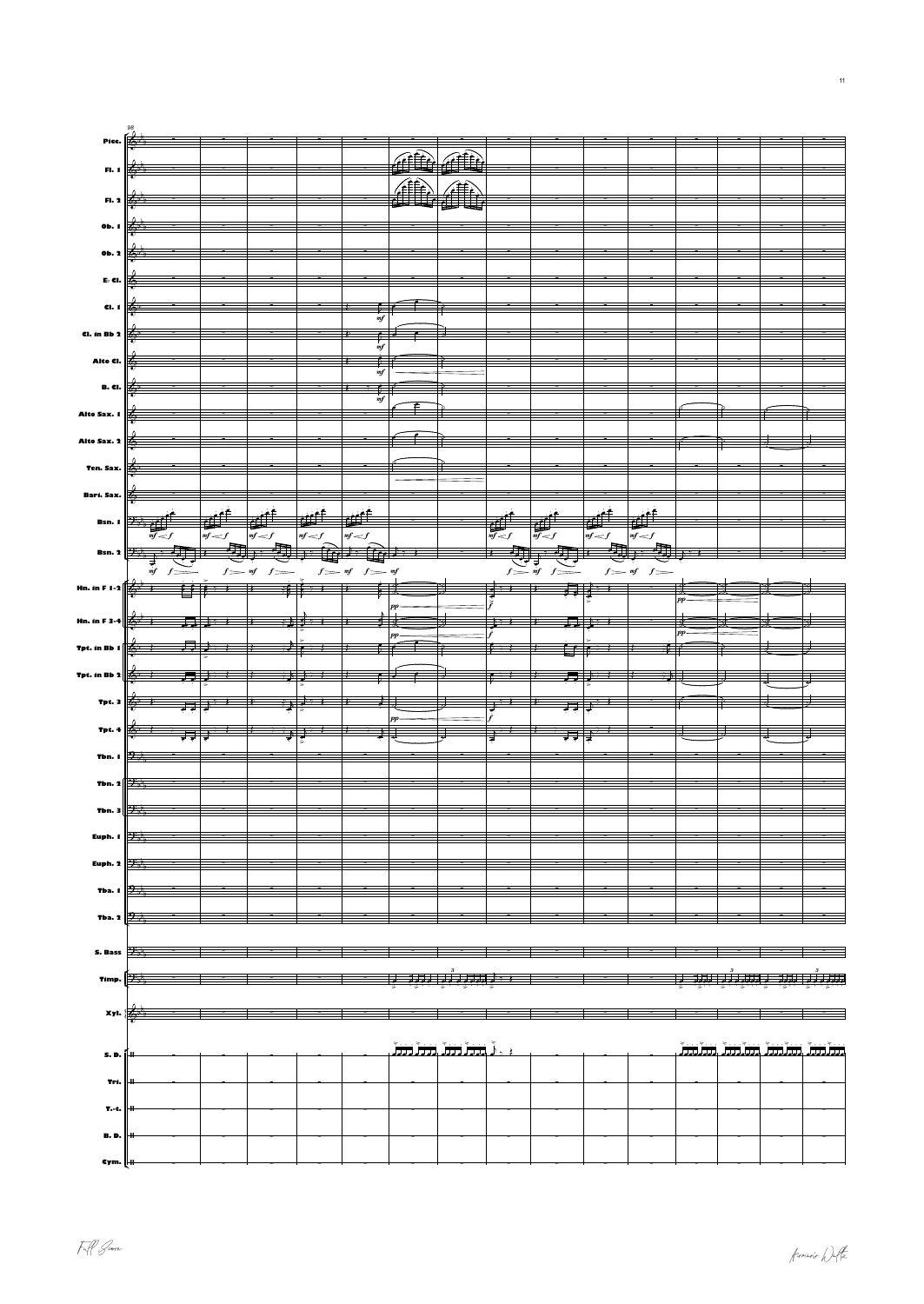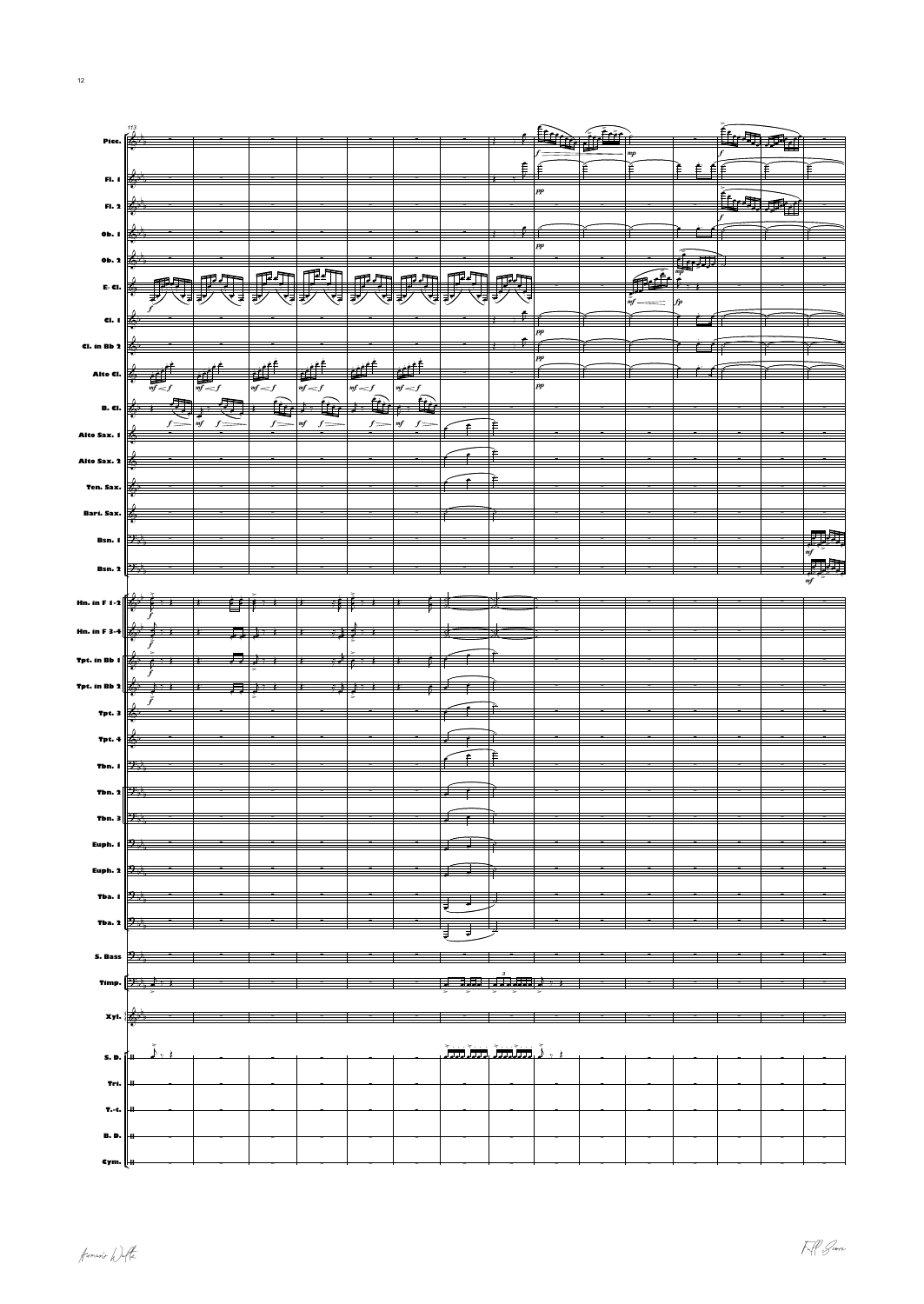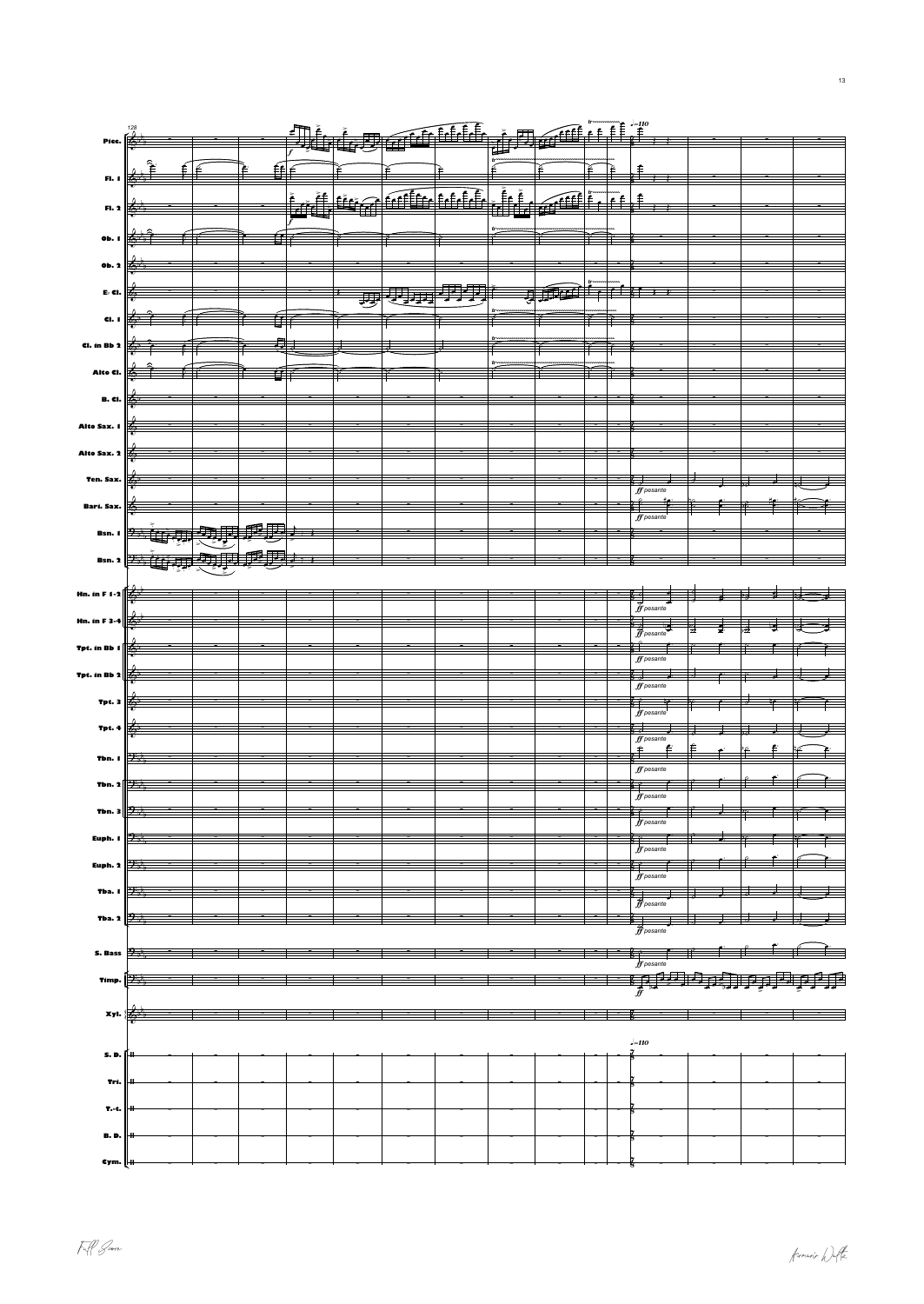|                                                   | 128                                |      |    |                 |            |      | f.f.f                    |                          | Æf                       |                              | $f = \frac{1}{100}$ |                                          |                          |           |  |
|---------------------------------------------------|------------------------------------|------|----|-----------------|------------|------|--------------------------|--------------------------|--------------------------|------------------------------|---------------------|------------------------------------------|--------------------------|-----------|--|
| Picc.                                             | f.                                 |      |    |                 |            |      |                          | 董                        |                          |                              |                     |                                          |                          |           |  |
|                                                   |                                    | €    |    | Éflé            |            |      |                          | tr<br>全                  |                          | Ê.                           | ∣`≧                 | $\mathbf{f}$                             |                          |           |  |
| FI. 1                                             |                                    |      |    |                 |            |      |                          |                          |                          |                              |                     |                                          |                          |           |  |
| FI. 2                                             |                                    |      |    | é               | ĚÊ<br>خفقة |      | artir, na an             | ▐ੈ≠_૾                    | $\widehat{\mathcal{H}}$  |                              | ≜ م                 | $\epsilon$                               |                          |           |  |
|                                                   |                                    |      |    |                 |            |      |                          |                          |                          |                              |                     |                                          |                          |           |  |
| <b>Ob.</b> 1                                      |                                    |      |    | <del>′r</del>   |            |      |                          |                          |                          |                              |                     |                                          |                          |           |  |
|                                                   |                                    |      |    |                 |            |      |                          |                          |                          |                              |                     |                                          |                          |           |  |
| <b>Ob. 2</b>                                      | fa                                 |      |    |                 |            |      |                          |                          |                          |                              |                     |                                          |                          |           |  |
| E, CI.                                            |                                    |      |    |                 |            | ख्यम |                          |                          | 手座                       | <del>⊞∠</del> ⊦ <sup>⊒</sup> |                     |                                          |                          |           |  |
|                                                   |                                    |      |    |                 | 罗          |      |                          |                          |                          |                              |                     |                                          |                          |           |  |
| <b>CI. I</b>                                      |                                    |      | ≃  |                 |            |      |                          |                          |                          |                              |                     |                                          |                          |           |  |
| Cl. in Bb 2                                       | t.                                 |      | 그  |                 |            |      |                          |                          |                          |                              |                     |                                          |                          |           |  |
|                                                   |                                    |      |    |                 |            |      |                          |                          |                          |                              |                     |                                          |                          |           |  |
| Alto CI.                                          |                                    |      | 52 |                 |            |      |                          |                          |                          |                              |                     |                                          |                          |           |  |
| <b>B. CI.</b>                                     | е,                                 |      |    |                 |            |      |                          |                          |                          |                              |                     |                                          |                          |           |  |
|                                                   |                                    |      |    |                 |            |      |                          |                          |                          |                              |                     |                                          |                          |           |  |
| Alto Sax. I                                       |                                    |      |    |                 |            |      |                          |                          |                          |                              |                     |                                          |                          |           |  |
| Alto Sax. 2                                       |                                    |      |    |                 |            |      |                          |                          |                          |                              |                     |                                          |                          |           |  |
| Ten. Sax.                                         |                                    |      |    |                 |            |      |                          |                          |                          |                              |                     |                                          |                          |           |  |
|                                                   |                                    |      |    |                 |            |      |                          |                          |                          |                              |                     | $ff$ pesante                             |                          |           |  |
| Bari. Sax.                                        |                                    |      |    |                 |            |      |                          |                          |                          |                              |                     |                                          |                          |           |  |
| Bsn. I                                            | $9\pm$<br>$\overline{\phantom{a}}$ | 实界型  |    | $\rightarrow$ 1 |            |      |                          |                          |                          |                              |                     | $ff$ pesante                             |                          |           |  |
|                                                   |                                    |      |    |                 |            |      |                          |                          |                          |                              |                     |                                          |                          |           |  |
| Bsn. 2                                            | $9 + 1$                            | स्मृ | 7. |                 |            |      |                          |                          |                          |                              |                     |                                          |                          |           |  |
|                                                   |                                    |      |    |                 |            |      |                          |                          |                          |                              |                     |                                          |                          |           |  |
| <b>Hn. in F 1-2</b>                               |                                    |      |    |                 |            |      |                          |                          |                          |                              |                     | $\overrightarrow{f}$ pesante             |                          |           |  |
| <b>Hn.</b> in F 3-4                               | ŕ.                                 |      |    |                 |            |      |                          |                          |                          |                              |                     |                                          |                          |           |  |
|                                                   |                                    |      |    |                 |            |      |                          |                          |                          |                              |                     | $\frac{d}{dt}$ = $\frac{d}{dt}$          |                          |           |  |
| Tpt. in Bb 1                                      | fa,                                |      |    |                 |            |      |                          |                          |                          |                              |                     | $ff$ pesante                             |                          |           |  |
| Tpt. in Bb 2                                      | あ                                  |      |    |                 |            |      |                          |                          |                          |                              |                     |                                          |                          |           |  |
|                                                   |                                    |      |    |                 |            |      |                          |                          |                          |                              |                     | $ff$ pesante                             |                          |           |  |
| Tpt. 3                                            |                                    |      |    |                 |            |      |                          |                          |                          |                              |                     | $\frac{1}{f}$ pesante                    |                          |           |  |
| Tpt. $4\sqrt{6}$                                  |                                    |      |    |                 |            |      |                          |                          |                          |                              |                     | ≠                                        |                          |           |  |
|                                                   |                                    |      |    |                 |            |      |                          |                          |                          |                              |                     | $\emph{ff}$ pesante<br>≛<br>$\mathbf{f}$ | ₽                        |           |  |
| Tbn. 1                                            | <u>Dir.</u>                        |      |    |                 |            |      |                          |                          |                          |                              |                     | $f$ pesante                              |                          |           |  |
| Tbn. 2 $\mathbb{P}$                               |                                    |      |    |                 |            |      |                          |                          |                          |                              |                     |                                          |                          |           |  |
|                                                   |                                    |      |    |                 |            |      |                          |                          |                          |                              |                     | $\int_{ff}$ pesante                      |                          |           |  |
| Tbn. 3 $\sqrt{2\pi}$                              |                                    |      |    |                 |            |      |                          |                          |                          |                              |                     | $2e$ $\rightarrow$<br>$f$ pesante        |                          |           |  |
| Euph. 1 $\mathcal{D}_{\mathcal{F}_{\mathcal{F}}}$ |                                    |      |    |                 |            |      |                          |                          |                          |                              |                     | Šρ                                       | $\overline{\phantom{a}}$ |           |  |
|                                                   |                                    |      |    |                 |            |      |                          |                          |                          |                              |                     | $f$ pesante                              |                          |           |  |
| Euph. 2 $2\frac{1}{2}$                            |                                    | -    |    |                 |            |      |                          |                          |                          | --                           |                     | $\frac{7}{8}$ $\int$ f pesante           |                          |           |  |
| Tba. I                                            | D -                                |      |    |                 |            |      |                          |                          |                          |                              |                     |                                          |                          |           |  |
|                                                   |                                    |      |    |                 |            |      |                          |                          |                          |                              |                     | $\overline{\hat{f}}$ pesante             |                          |           |  |
| Tba. 2 $\frac{1}{2}$                              |                                    |      |    |                 |            |      |                          |                          |                          |                              |                     | $\overline{\hat{f}^{\prime}}$ pesante    |                          |           |  |
| <b>S. Bass</b> $\overline{2+1}$                   |                                    |      |    |                 |            |      |                          |                          |                          |                              |                     |                                          |                          |           |  |
|                                                   |                                    |      |    |                 |            |      |                          |                          |                          |                              |                     |                                          |                          |           |  |
| Timp.                                             | <u> 97.</u>                        |      |    |                 |            |      |                          |                          |                          |                              |                     | $\frac{1}{\hat{y}}$                      |                          |           |  |
|                                                   |                                    |      |    |                 |            |      |                          |                          |                          |                              |                     |                                          |                          |           |  |
| xyL                                               |                                    |      |    |                 |            |      | $\overline{\phantom{a}}$ | $\overline{\phantom{a}}$ | $\overline{\phantom{a}}$ | $\overline{\phantom{a}}$     | ł                   | 7<br>-                                   |                          | <u>т.</u> |  |
|                                                   |                                    |      |    |                 |            |      |                          |                          |                          |                              |                     | $J=110$                                  |                          |           |  |
| S. D.                                             |                                    |      |    |                 |            |      |                          |                          |                          |                              |                     | ß                                        |                          |           |  |
|                                                   |                                    |      |    |                 |            |      |                          |                          |                          |                              |                     |                                          |                          |           |  |
| Tri.                                              | нŧ                                 |      |    |                 |            |      |                          |                          |                          |                              |                     |                                          |                          |           |  |
| $T - t$ .                                         | ℍ                                  |      |    |                 |            |      |                          |                          |                          |                              |                     |                                          |                          |           |  |
|                                                   |                                    |      |    |                 |            |      |                          |                          |                          |                              |                     |                                          |                          |           |  |
| B. D.                                             | H۲                                 |      |    |                 |            |      |                          |                          |                          |                              |                     |                                          |                          |           |  |
| Cym. [ <del>Ⅱ</del>                               |                                    |      |    |                 |            |      |                          |                          |                          |                              |                     |                                          |                          |           |  |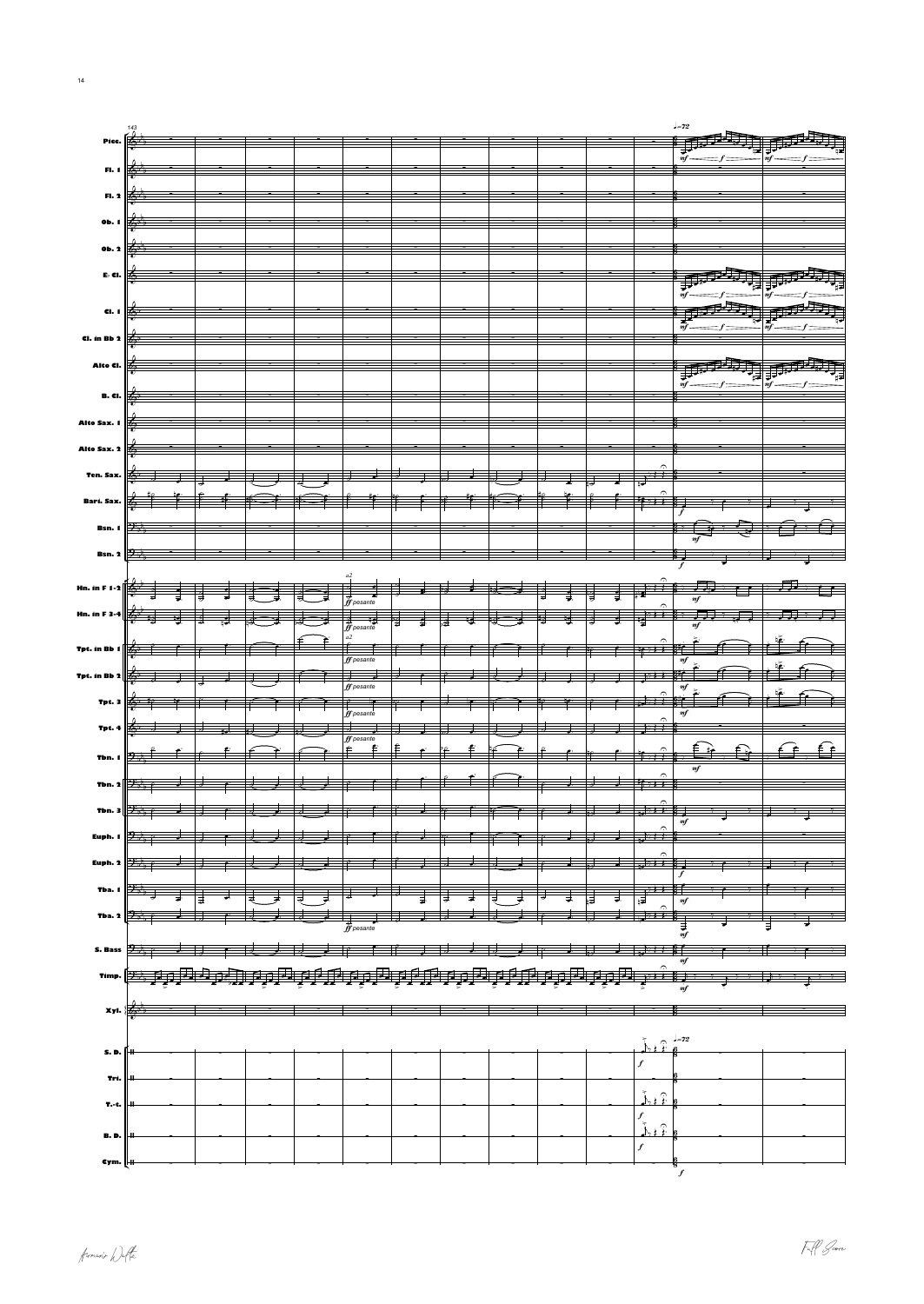| Picc.<br>FI. 1      |                                                            |     |                                   |                               |         |                              |                               |   |                          |              |        |                          |        |                                                                                                                                                                                                                                                                                                                                                     |                            |         |
|---------------------|------------------------------------------------------------|-----|-----------------------------------|-------------------------------|---------|------------------------------|-------------------------------|---|--------------------------|--------------|--------|--------------------------|--------|-----------------------------------------------------------------------------------------------------------------------------------------------------------------------------------------------------------------------------------------------------------------------------------------------------------------------------------------------------|----------------------------|---------|
|                     |                                                            |     |                                   |                               |         |                              |                               |   |                          |              |        |                          |        |                                                                                                                                                                                                                                                                                                                                                     | $\vec{f}$                  | mf      |
|                     |                                                            |     |                                   |                               |         |                              |                               |   |                          |              |        |                          |        |                                                                                                                                                                                                                                                                                                                                                     |                            |         |
|                     |                                                            |     |                                   |                               |         |                              |                               |   |                          |              |        |                          |        |                                                                                                                                                                                                                                                                                                                                                     |                            |         |
| <b>FI. 2</b>        |                                                            |     |                                   |                               |         |                              |                               |   |                          |              |        |                          |        |                                                                                                                                                                                                                                                                                                                                                     |                            |         |
| 0Ь.                 |                                                            |     |                                   |                               |         |                              |                               |   |                          |              |        |                          |        |                                                                                                                                                                                                                                                                                                                                                     |                            |         |
| <b>Ob. 2</b>        |                                                            |     |                                   |                               |         |                              |                               |   |                          |              |        |                          |        |                                                                                                                                                                                                                                                                                                                                                     |                            |         |
|                     |                                                            |     |                                   |                               |         |                              |                               |   |                          |              |        |                          |        |                                                                                                                                                                                                                                                                                                                                                     |                            |         |
| E CI.               |                                                            |     |                                   |                               |         |                              |                               |   |                          |              |        |                          |        |                                                                                                                                                                                                                                                                                                                                                     |                            |         |
|                     |                                                            |     |                                   |                               |         |                              |                               |   |                          |              |        |                          |        |                                                                                                                                                                                                                                                                                                                                                     | $\overrightarrow{f}$       |         |
| CI. 1               |                                                            |     |                                   |                               |         |                              |                               |   |                          |              |        |                          |        |                                                                                                                                                                                                                                                                                                                                                     |                            |         |
|                     |                                                            |     |                                   |                               |         |                              |                               |   |                          |              |        |                          |        |                                                                                                                                                                                                                                                                                                                                                     | $\vec{m}$                  |         |
| Cl. in Bb 2         |                                                            |     |                                   |                               |         |                              |                               |   |                          |              |        |                          |        |                                                                                                                                                                                                                                                                                                                                                     |                            |         |
| Alto Cl.            |                                                            |     |                                   |                               |         |                              |                               |   |                          |              |        |                          |        |                                                                                                                                                                                                                                                                                                                                                     |                            |         |
|                     |                                                            |     |                                   |                               |         |                              |                               |   |                          |              |        |                          |        |                                                                                                                                                                                                                                                                                                                                                     | $\overrightarrow{f}$<br>Ţ. |         |
| <b>B. CI.</b>       |                                                            |     |                                   |                               |         |                              |                               |   |                          |              |        |                          |        |                                                                                                                                                                                                                                                                                                                                                     |                            |         |
| Alto Sax. I         |                                                            |     |                                   |                               |         |                              |                               |   |                          |              |        |                          |        |                                                                                                                                                                                                                                                                                                                                                     |                            |         |
|                     |                                                            |     |                                   |                               |         |                              |                               |   |                          |              |        |                          |        |                                                                                                                                                                                                                                                                                                                                                     |                            |         |
| Alto Sax. 2         |                                                            |     |                                   |                               |         |                              |                               |   |                          |              |        |                          |        |                                                                                                                                                                                                                                                                                                                                                     |                            |         |
| Ten. Sax.           |                                                            |     |                                   |                               |         |                              |                               |   |                          |              |        |                          |        |                                                                                                                                                                                                                                                                                                                                                     |                            |         |
|                     |                                                            |     |                                   |                               |         |                              |                               |   |                          |              |        |                          |        |                                                                                                                                                                                                                                                                                                                                                     |                            |         |
| Bari. Sax.          |                                                            |     |                                   |                               |         |                              |                               |   |                          |              |        |                          |        | $\blacksquare$                                                                                                                                                                                                                                                                                                                                      |                            |         |
| Bsn. I              |                                                            |     |                                   |                               |         |                              |                               |   |                          |              |        |                          |        |                                                                                                                                                                                                                                                                                                                                                     |                            |         |
|                     |                                                            |     |                                   |                               |         |                              |                               |   |                          |              |        |                          |        |                                                                                                                                                                                                                                                                                                                                                     |                            |         |
| Bsn. 2              | ナ                                                          |     |                                   |                               |         |                              |                               |   |                          |              |        |                          |        |                                                                                                                                                                                                                                                                                                                                                     |                            |         |
|                     |                                                            |     |                                   |                               |         |                              |                               |   |                          |              |        |                          |        |                                                                                                                                                                                                                                                                                                                                                     |                            |         |
| <b>Hn. in F 1-2</b> |                                                            |     |                                   |                               |         | $\frac{1}{f}$ pesante        |                               |   |                          |              |        |                          |        | $\rightarrow$ $\rightarrow$ $\frac{6}{8}$ $\rightarrow$                                                                                                                                                                                                                                                                                             | J J.<br>m f                |         |
| Hn. in F 3-4        |                                                            |     |                                   |                               |         |                              |                               |   |                          |              |        |                          |        | <u>gaê</u>                                                                                                                                                                                                                                                                                                                                          |                            |         |
|                     |                                                            |     |                                   |                               |         | $\frac{2}{f}$ is<br>a2       |                               |   |                          |              |        |                          |        |                                                                                                                                                                                                                                                                                                                                                     | m f                        |         |
| Tpt. in Bb 1        | $\mathbb{G}^*$                                             |     |                                   |                               |         |                              |                               |   |                          |              |        |                          |        | ⌒<br>$k \rightarrow k$                                                                                                                                                                                                                                                                                                                              |                            |         |
|                     |                                                            |     |                                   |                               |         | $ff$ pesante                 |                               |   |                          |              |        |                          |        |                                                                                                                                                                                                                                                                                                                                                     | $\it mf$                   |         |
| Tpt. in Bb $2$      | ի≰∍                                                        |     |                                   |                               |         | $f$ pesante                  |                               |   |                          |              |        |                          |        | $\rightarrow$ $\rightarrow$ $\rightarrow$                                                                                                                                                                                                                                                                                                           | m f                        |         |
| Tpt. 3              | l Co≥                                                      |     |                                   |                               |         | ₽                            |                               |   |                          |              |        |                          |        | $\hat{ }$<br>$\frac{1}{2}$ , $\frac{1}{2}$ , $\frac{1}{2}$ , $\frac{1}{2}$ , $\frac{1}{2}$                                                                                                                                                                                                                                                          |                            |         |
|                     |                                                            |     |                                   |                               |         | $\boldsymbol{f}$ pesante     |                               |   |                          |              |        |                          |        | $\sim$                                                                                                                                                                                                                                                                                                                                              | mf                         |         |
| Tpt. 4              | Tes•                                                       |     |                                   |                               |         | $f$ pesante                  |                               |   |                          |              |        |                          |        | $\mathcal{V} \rightarrow \mathcal{V}$                                                                                                                                                                                                                                                                                                               |                            |         |
| Tbn. I              | $2 + 1$                                                    |     |                                   |                               |         | €<br>₽                       | ₽                             |   | £                        |              |        |                          |        | $\mathfrak{p}, \mathfrak{p}$ 8                                                                                                                                                                                                                                                                                                                      |                            | غ ≜     |
|                     |                                                            |     |                                   |                               |         |                              |                               |   |                          |              |        |                          |        | $\hat{ }$                                                                                                                                                                                                                                                                                                                                           | mf                         |         |
| Tbn. $2$            | ジジャ                                                        |     |                                   |                               |         | ₽                            |                               |   |                          |              |        | ≁                        |        | $\ket{\mathbf{r}_2 \mathbf{r}_1}$                                                                                                                                                                                                                                                                                                                   |                            |         |
| Tbn. $3$            | $9_{2.6}$                                                  |     |                                   |                               |         |                              |                               |   |                          |              |        |                          |        | $\hat{ }$                                                                                                                                                                                                                                                                                                                                           |                            |         |
|                     |                                                            |     |                                   |                               |         |                              |                               |   |                          |              |        |                          |        | $\curvearrowright$                                                                                                                                                                                                                                                                                                                                  | mf                         |         |
| Euph. 1             | $\mathcal{P}_{\mathcal{F},\mathcal{F}}$                    |     |                                   |                               |         |                              | ÷                             |   |                          |              | ÷      |                          |        | ਇਸੇ ਸ਼ੌ                                                                                                                                                                                                                                                                                                                                             |                            |         |
| Euph. 2             | $\mathcal{F}_{\mathcal{F}_\mathcal{F}}$ and                | – • |                                   |                               |         | ←<br>┯                       |                               | ᆋ | $\overline{\phantom{a}}$ |              | $\sim$ | 7. L.E                   |        | $\hat{\phantom{a}}$<br>$\downarrow$ $\rightarrow$ $\rightarrow$ $\downarrow$ 8                                                                                                                                                                                                                                                                      |                            |         |
|                     |                                                            |     |                                   |                               |         |                              |                               |   |                          |              |        |                          |        |                                                                                                                                                                                                                                                                                                                                                     |                            |         |
| Tba. I              | $\mathbb{E}_{\mathbb{F}_p}$                                | ₹   | TJ<br>₹                           |                               | J.<br>⋣ | ₹                            | ₹                             | ₹ | ₹                        | ₹<br>₹       | ₹      | ₹                        | ₹<br>は | $\begin{picture}(20,20) \put(0,0){\line(1,0){10}} \put(15,0){\line(1,0){10}} \put(15,0){\line(1,0){10}} \put(15,0){\line(1,0){10}} \put(15,0){\line(1,0){10}} \put(15,0){\line(1,0){10}} \put(15,0){\line(1,0){10}} \put(15,0){\line(1,0){10}} \put(15,0){\line(1,0){10}} \put(15,0){\line(1,0){10}} \put(15,0){\line(1,0){10}} \put(15,0){\line(1$ | $\it mf$                   |         |
| Tba. 2              | $9_{\rm B,f}$                                              | ÷   |                                   |                               |         |                              |                               |   |                          |              |        |                          |        | $\sim$<br>$\rightarrow$ $\rightarrow$ $\rightarrow$                                                                                                                                                                                                                                                                                                 |                            |         |
|                     |                                                            |     |                                   |                               |         | $\overrightarrow{f}$ pesante |                               |   |                          |              |        |                          |        |                                                                                                                                                                                                                                                                                                                                                     | J,<br>mf                   | ₹       |
|                     | <b>S. Bass</b> $\overrightarrow{y}$ , $\overrightarrow{r}$ |     |                                   |                               |         | $\mathsf{P}$                 |                               |   |                          |              |        |                          |        | $\rightarrow$ $\rightarrow$ $\rightarrow$ $\frac{6}{8}$                                                                                                                                                                                                                                                                                             |                            | ₹⊒      |
|                     |                                                            |     |                                   |                               |         |                              |                               |   |                          |              |        |                          |        |                                                                                                                                                                                                                                                                                                                                                     | mf                         |         |
| Timp.               | $9_{\pm}$<br>p                                             |     | $\overline{a}$ , $\overline{a}$ , | $\overline{\phantom{a}}$<br>+ | 爭<br>Ţ₽ | ▅▅                           | $\mathcal{F}$ , $\mathcal{F}$ | ≢ |                          | وزوبا وأعانأ |        | $\overline{\phantom{a}}$ | ₽      | $\hat{N}$ $\hat{i}$ $\hat{B}$ $\hat{N}$ $\hat{Y}$                                                                                                                                                                                                                                                                                                   | $\frac{1}{7}$<br>$\int$    | $7 - 7$ |
|                     |                                                            |     |                                   |                               |         |                              |                               |   |                          |              |        |                          |        |                                                                                                                                                                                                                                                                                                                                                     |                            |         |
|                     | $xyL$ $\frac{1}{2}$                                        |     |                                   |                               |         |                              |                               |   |                          |              |        |                          |        |                                                                                                                                                                                                                                                                                                                                                     |                            |         |
|                     |                                                            |     |                                   |                               |         |                              |                               |   |                          |              |        |                          |        |                                                                                                                                                                                                                                                                                                                                                     |                            |         |
| S. D.               | ⊩                                                          |     |                                   |                               |         |                              |                               |   |                          |              |        |                          |        | $\overrightarrow{\mathbf{h}}$ , $\overrightarrow{\mathbf{h}}$ $\overrightarrow{\mathbf{g}}$                                                                                                                                                                                                                                                         |                            |         |
|                     |                                                            |     |                                   |                               |         |                              |                               |   |                          |              |        |                          |        | $\boldsymbol{f}$                                                                                                                                                                                                                                                                                                                                    |                            |         |
| Tri.                |                                                            |     |                                   |                               |         |                              |                               |   |                          |              |        |                          |        |                                                                                                                                                                                                                                                                                                                                                     |                            |         |
| $T - t$             | НН                                                         |     |                                   |                               |         |                              |                               |   |                          |              |        |                          |        | $\tilde{J}_2$                                                                                                                                                                                                                                                                                                                                       |                            |         |
|                     |                                                            |     |                                   |                               |         |                              |                               |   |                          |              |        |                          |        | $\boldsymbol{f}$                                                                                                                                                                                                                                                                                                                                    |                            |         |
| <b>B. D.</b>        | H۲                                                         |     |                                   |                               |         |                              |                               |   |                          |              |        |                          |        | $\tilde{\tilde{J}}$                                                                                                                                                                                                                                                                                                                                 |                            |         |
|                     |                                                            |     |                                   |                               |         |                              |                               |   |                          |              |        |                          |        | $\boldsymbol{f}$                                                                                                                                                                                                                                                                                                                                    |                            |         |
| Cym. Į⊕             |                                                            |     |                                   |                               |         |                              |                               |   |                          |              |        |                          |        |                                                                                                                                                                                                                                                                                                                                                     | $\boldsymbol{f}$           |         |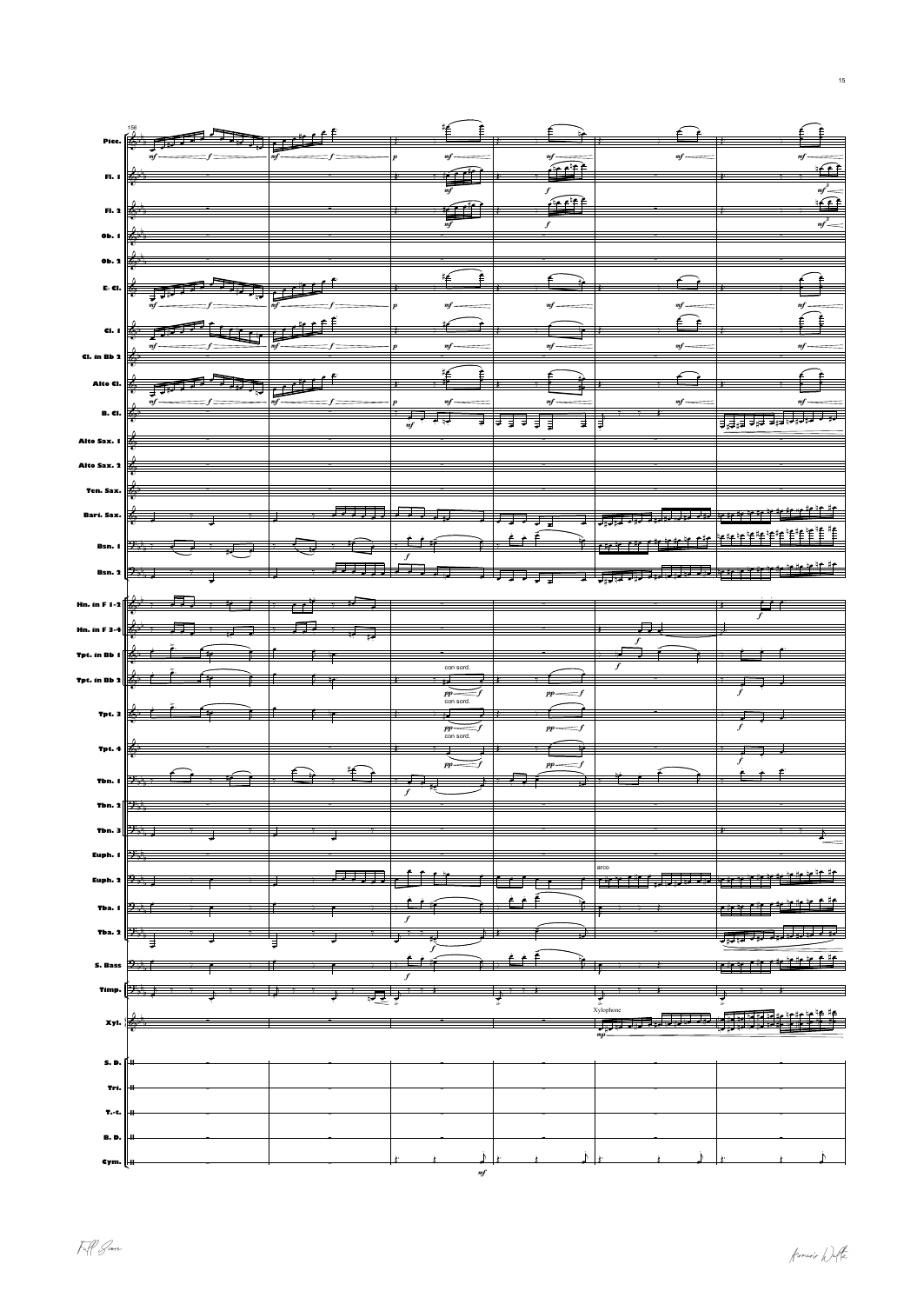| 156                                                                             | Picc. $\frac{1}{\sqrt{2}}$<br>ن م <del>برد ب</del> ه        |                          |                                                 |                             |                                                                                                                                                                          |                                                                                                                                         |
|---------------------------------------------------------------------------------|-------------------------------------------------------------|--------------------------|-------------------------------------------------|-----------------------------|--------------------------------------------------------------------------------------------------------------------------------------------------------------------------|-----------------------------------------------------------------------------------------------------------------------------------------|
|                                                                                 |                                                             |                          |                                                 |                             |                                                                                                                                                                          | ن م آ                                                                                                                                   |
| FI. 1                                                                           |                                                             |                          |                                                 |                             |                                                                                                                                                                          |                                                                                                                                         |
|                                                                                 |                                                             |                          |                                                 |                             |                                                                                                                                                                          | $\begin{array}{c}\n\hline\n\text{mf}^3 \\ \hline\n\text{mf}^3\n\end{array}$                                                             |
|                                                                                 | 6                                                           |                          |                                                 |                             |                                                                                                                                                                          |                                                                                                                                         |
|                                                                                 | 6                                                           |                          |                                                 | $\mathcal{F}_{\mathcal{L}}$ |                                                                                                                                                                          | $m f^3$                                                                                                                                 |
|                                                                                 |                                                             |                          |                                                 |                             |                                                                                                                                                                          |                                                                                                                                         |
|                                                                                 | $\mathbb{G}^{\mathfrak{p}}$                                 |                          |                                                 |                             |                                                                                                                                                                          |                                                                                                                                         |
|                                                                                 |                                                             |                          | Ě.                                              |                             |                                                                                                                                                                          |                                                                                                                                         |
| ${\bf E}\cdot{\bf C}$ l.<br>¦⊜                                                  |                                                             |                          |                                                 |                             |                                                                                                                                                                          |                                                                                                                                         |
|                                                                                 |                                                             |                          |                                                 |                             |                                                                                                                                                                          |                                                                                                                                         |
|                                                                                 | <b>The Little</b><br>$\frac{d}{dx}$                         |                          |                                                 |                             |                                                                                                                                                                          |                                                                                                                                         |
|                                                                                 | <b>CI.</b> in Bb 2 $\frac{1}{\sqrt{2}}$                     |                          | mf                                              | $\it mf$                    | mf                                                                                                                                                                       | mf                                                                                                                                      |
|                                                                                 |                                                             |                          | Ē.                                              |                             |                                                                                                                                                                          |                                                                                                                                         |
|                                                                                 | Alto Cl. $\left \overline{\left \overline{\right }\right }$ |                          |                                                 |                             |                                                                                                                                                                          |                                                                                                                                         |
|                                                                                 |                                                             |                          | тf                                              | $m f -$                     | тf                                                                                                                                                                       |                                                                                                                                         |
| $B.$ Cl.                                                                        |                                                             |                          | ₹ह<br>$\frac{1}{m}$                             | होडुइइेड्ड<br>ţ             | ţ                                                                                                                                                                        | $\frac{1}{\sqrt{2}}$ , $\frac{1}{\sqrt{2}}$ , $\frac{1}{\sqrt{2}}$ , $\frac{1}{\sqrt{2}}$ , $\frac{1}{\sqrt{2}}$ , $\frac{1}{\sqrt{2}}$ |
|                                                                                 |                                                             |                          |                                                 |                             |                                                                                                                                                                          |                                                                                                                                         |
| Alto Sax. $2\left \frac{1}{\sqrt{2}}\right $                                    |                                                             |                          |                                                 |                             |                                                                                                                                                                          |                                                                                                                                         |
|                                                                                 |                                                             |                          |                                                 |                             |                                                                                                                                                                          |                                                                                                                                         |
| το,                                                                             |                                                             |                          |                                                 |                             |                                                                                                                                                                          |                                                                                                                                         |
|                                                                                 | 唪                                                           |                          | <u>.</u>                                        |                             | $\frac{1}{2}$ , $\frac{1}{2}$ , $\frac{1}{2}$ , $\frac{1}{2}$ , $\frac{1}{2}$ , $\frac{1}{2}$ , $\frac{1}{2}$ , $\frac{1}{2}$ , $\frac{1}{2}$                            |                                                                                                                                         |
|                                                                                 |                                                             |                          |                                                 |                             |                                                                                                                                                                          | *₽                                                                                                                                      |
|                                                                                 | <b>Bsn.</b> $\left  \frac{1}{2} \right $                    | $\overline{\phantom{a}}$ | $\rightarrow$                                   |                             | مقم موموما                                                                                                                                                               |                                                                                                                                         |
|                                                                                 |                                                             |                          |                                                 |                             |                                                                                                                                                                          |                                                                                                                                         |
|                                                                                 | Bsn. 2 $\boxed{2+}$                                         |                          | 77 J J J J J J                                  | गा। ग                       | <del>जनका</del><br>▜ <sub>▚</sub> ▎ <sub>▚</sub> ▎ <sub>▚</sub>                                                                                                          | د من من من                                                                                                                              |
|                                                                                 | Hn. in F 1-2 $\mathbb{R}^2$                                 |                          |                                                 |                             |                                                                                                                                                                          |                                                                                                                                         |
|                                                                                 |                                                             |                          |                                                 |                             |                                                                                                                                                                          | f                                                                                                                                       |
|                                                                                 | Hn. in F 3-4 $\frac{1}{100}$                                |                          |                                                 |                             | $\overline{\phantom{a}}$                                                                                                                                                 |                                                                                                                                         |
| Tpt. in Bb $\mathbf{1}$ $\left \left \overline{\mathbf{G}^{\pm}}\right \right $ |                                                             |                          |                                                 |                             |                                                                                                                                                                          |                                                                                                                                         |
|                                                                                 |                                                             |                          | con sord.                                       |                             | $\boldsymbol{f}$                                                                                                                                                         |                                                                                                                                         |
|                                                                                 | 6                                                           |                          |                                                 |                             |                                                                                                                                                                          |                                                                                                                                         |
|                                                                                 |                                                             |                          | $pp$ —<br>con sord.                             | $pp-$                       |                                                                                                                                                                          |                                                                                                                                         |
| Tpt. 3<br>6                                                                     |                                                             |                          |                                                 |                             |                                                                                                                                                                          |                                                                                                                                         |
|                                                                                 |                                                             |                          | $pp=$<br>con sord.                              | $pp-$<br>$=$ 1              |                                                                                                                                                                          |                                                                                                                                         |
|                                                                                 | 65                                                          |                          |                                                 |                             |                                                                                                                                                                          |                                                                                                                                         |
|                                                                                 |                                                             |                          | $pp-$                                           | $pp-$                       |                                                                                                                                                                          |                                                                                                                                         |
|                                                                                 |                                                             |                          | $\boldsymbol{f}$                                |                             |                                                                                                                                                                          |                                                                                                                                         |
|                                                                                 | 27                                                          |                          |                                                 |                             |                                                                                                                                                                          |                                                                                                                                         |
|                                                                                 | 方                                                           |                          |                                                 |                             |                                                                                                                                                                          |                                                                                                                                         |
|                                                                                 |                                                             |                          |                                                 |                             |                                                                                                                                                                          |                                                                                                                                         |
|                                                                                 | $\mathcal{P}_{\mathbb{R}^+}$                                |                          |                                                 |                             |                                                                                                                                                                          |                                                                                                                                         |
|                                                                                 | 步                                                           |                          |                                                 |                             | arco<br>$\overline{\phantom{a}}$<br>┙                                                                                                                                    | te te le le                                                                                                                             |
|                                                                                 |                                                             |                          |                                                 |                             |                                                                                                                                                                          |                                                                                                                                         |
|                                                                                 | $2+$                                                        |                          |                                                 |                             |                                                                                                                                                                          | . .                                                                                                                                     |
|                                                                                 |                                                             |                          | $\boldsymbol{f}$                                |                             |                                                                                                                                                                          |                                                                                                                                         |
|                                                                                 |                                                             |                          |                                                 |                             |                                                                                                                                                                          | مطالعة                                                                                                                                  |
|                                                                                 | <b>S. Bass</b> $\frac{1}{\sqrt{2}}$                         |                          |                                                 |                             |                                                                                                                                                                          | أعمامهم                                                                                                                                 |
|                                                                                 |                                                             |                          | f                                               |                             |                                                                                                                                                                          |                                                                                                                                         |
|                                                                                 |                                                             | ਜ਼ਾਦ                     | $\rightarrow$ $\rightarrow$ $\rightarrow$<br>÷. |                             |                                                                                                                                                                          |                                                                                                                                         |
|                                                                                 |                                                             |                          |                                                 |                             | $\frac{1}{2}$ Xylophone<br>$\frac{1}{2}$ , $\frac{1}{2}$ , $\frac{1}{2}$ , $\frac{1}{2}$ , $\frac{1}{2}$ , $\frac{1}{2}$ , $\frac{1}{2}$ , $\frac{1}{2}$ , $\frac{1}{2}$ |                                                                                                                                         |
| $xyL \nleftrightarrow$                                                          |                                                             |                          |                                                 |                             | <b>Julie die dee</b><br>mp                                                                                                                                               | <del>प्</del> च स्त्रा क्या क्या क                                                                                                      |
|                                                                                 |                                                             |                          |                                                 |                             |                                                                                                                                                                          |                                                                                                                                         |
| ₩                                                                               |                                                             |                          |                                                 |                             |                                                                                                                                                                          |                                                                                                                                         |
| #                                                                               |                                                             |                          |                                                 |                             |                                                                                                                                                                          |                                                                                                                                         |
|                                                                                 |                                                             |                          |                                                 |                             |                                                                                                                                                                          |                                                                                                                                         |
| H                                                                               |                                                             |                          |                                                 |                             |                                                                                                                                                                          |                                                                                                                                         |
| Ħ                                                                               |                                                             |                          |                                                 |                             |                                                                                                                                                                          |                                                                                                                                         |
|                                                                                 |                                                             |                          |                                                 |                             |                                                                                                                                                                          |                                                                                                                                         |
|                                                                                 |                                                             |                          |                                                 |                             |                                                                                                                                                                          |                                                                                                                                         |
|                                                                                 |                                                             |                          |                                                 |                             |                                                                                                                                                                          |                                                                                                                                         |
|                                                                                 |                                                             |                          | $\it mf$                                        |                             |                                                                                                                                                                          |                                                                                                                                         |